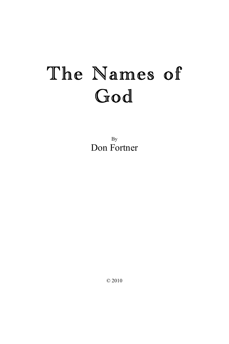By Don Fortner

© 2010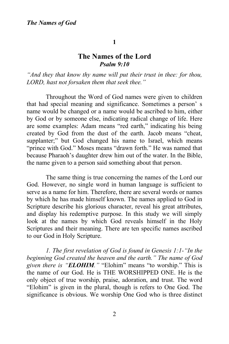#### **1**

# **The Names of the Lord** *Psalm 9:10*

*"And they that know thy name will put their trust in thee: for thou, LORD, hast not forsaken them that seek thee."*

Throughout the Word of God names were given to children that had special meaning and significance. Sometimes a person' s name would be changed or a name would be ascribed to him, either by God or by someone else, indicating radical change of life. Here are some examples: Adam means "red earth," indicating his being created by God from the dust of the earth. Jacob means "cheat, supplanter;" but God changed his name to Israel, which means "prince with God." Moses means "drawn forth." He was named that because Pharaoh's daughter drew him out of the water. In the Bible, the name given to a person said something about that person.

The same thing is true concerning the names of the Lord our God. However, no single word in human language is sufficient to serve as a name for him. Therefore, there are several words or names by which he has made himself known. The names applied to God in Scripture describe his glorious character, reveal his great attributes, and display his redemptive purpose. In this study we will simply look at the names by which God reveals himself in the Holy Scriptures and their meaning. There are ten specific names ascribed to our God in Holy Scripture.

*1. The first revelation of God is found in Genesis 1:1-"In the beginning God created the heaven and the earth." The name of God given there is "ELOHIM."* "Elohim" means "to worship." This is the name of our God. He is THE WORSHIPPED ONE. He is the only object of true worship, praise, adoration, and trust. The word "Elohim" is given in the plural, though is refers to One God. The significance is obvious. We worship One God who is three distinct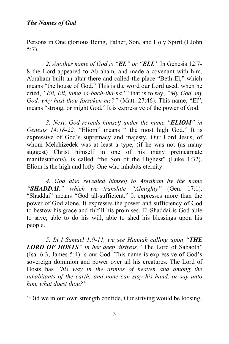Persons in One glorious Being, Father, Son, and Holy Spirit (I John 5:7).

*2. Another name of God is "EL" or "ELI."* In Genesis 12:7- 8 the Lord appeared to Abraham, and made a covenant with him. Abraham built an altar there and called the place "Beth-El," which means "the house of God." This is the word our Lord used, when he cried, *"Eli, Eli, lama sa-bach-tha-na?"* that is to say, *"My God, my God, why hast thou forsaken me?"* (Matt. 27:46). This name, "El", means "strong, or might God." It is expressive of the power of God.

*3. Next, God reveals himself under the name "ELIOM" in Genesis 14:18-22.* "Eliom" means " the most high God." It is expressive of God's supremacy and majesty. Our Lord Jesus, of whom Melchizedek was at least a type, (if he was not (as many suggest) Christ himself in one of his many preincarnate manifestations), is called "the Son of the Highest" (Luke 1:32). Eliom is the high and lofty One who inhabits eternity.

*4. God also revealed himself to Abraham by the name "SHADDAI," which we translate "Almighty"* (Gen. 17:1). "Shaddai" means "God all-sufficient." It expresses more than the power of God alone. It expresses the power and sufficiency of God to bestow his grace and fulfill his promises. El-Shaddai is God able to save, able to do his will, able to shed his blessings upon his people.

*5. In I Samuel 1:9-11, we see Hannah calling upon "THE LORD OF HOSTS" in her deep distress.* "The Lord of Sabaoth" (Isa. 6:3; James 5:4) is our God. This name is expressive of God's sovereign dominion and power over all his creatures. The Lord of Hosts has *"his way in the armies of heaven and among the inhabitants of the earth; and none can stay his hand, or say unto him, what doest thou?"*

"Did we in our own strength confide, Our striving would be loosing,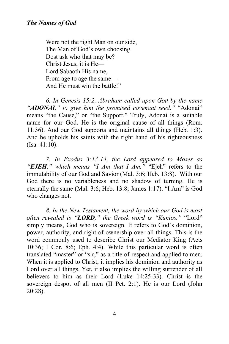Were not the right Man on our side, The Man of God's own choosing. Dost ask who that may be? Christ Jesus, it is He— Lord Sabaoth His name, From age to age the same— And He must win the battle!"

*6. In Genesis 15:2, Abraham called upon God by the name "ADONAI," to give him the promised covenant seed."* "Adonai" means "the Cause," or "the Support." Truly, Adonai is a suitable name for our God. He is the original cause of all things (Rom. 11:36). And our God supports and maintains all things (Heb. 1:3). And he upholds his saints with the right hand of his righteousness (Isa. 41:10).

*7. In Exodus 3:13-14, the Lord appeared to Moses as "EJEH," which means "I Am that I Am."* "Ejeh" refers to the immutability of our God and Savior (Mal. 3:6; Heb. 13:8). With our God there is no variableness and no shadow of turning. He is eternally the same (Mal. 3:6; Heb. 13:8; James 1:17). "I Am" is God who changes not.

*8. In the New Testament, the word by which our God is most often revealed is "LORD," the Greek word is "Kunios."* "Lord" simply means, God who is sovereign. It refers to God's dominion, power, authority, and right of ownership over all things. This is the word commonly used to describe Christ our Mediator King (Acts 10:36; I Cor. 8:6; Eph. 4:4). While this particular word is often translated "master" or "sir," as a title of respect and applied to men. When it is applied to Christ, it implies his dominion and authority as Lord over all things. Yet, it also implies the willing surrender of all believers to him as their Lord (Luke 14:25-33). Christ is the sovereign despot of all men (II Pet. 2:1). He is our Lord (John 20:28).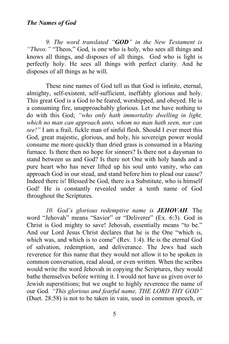*9. The word translated "GOD" in the New Testament is "Theos."* "Theos," God, is one who is holy, who sees all things and knows all things, and disposes of all things. God who is light is perfectly holy. He sees all things with perfect clarity. And he disposes of all things as he will.

These nine names of God tell us that God is infinite, eternal, almighty, self-existent, self-sufficient, ineffably glorious and holy. This great God is a God to be feared, worshipped, and obeyed. He is a consuming fire, unapproachably glorious. Let me have nothing to do with this God; *"who only hath immortality dwelling in light, which no man can approach unto, whom no man hath seen, nor can see!"* I am a frail, fickle man of sinful flesh. Should I ever meet this God, great majestic, glorious, and holy, his sovereign power would consume me more quickly than dried grass is consumed in a blazing furnace. Is there then no hope for sinners? Is there not a daysman to stand between us and God? Is there not One with holy hands and a pure heart who has never lifted up his soul unto vanity, who can approach God in our stead, and stand before him to plead our cause? Indeed there is! Blessed be God, there is a Substitute, who is himself God! He is constantly revealed under a tenth name of God throughout the Scriptures.

*10. God's glorious redemptive name is JEHOVAH.* The word "Jehovah" means "Savior" or "Deliverer" (Ex. 6:3). God in Christ is God mighty to save! Jehovah, essentially means "to be." And our Lord Jesus Christ declares that he is the One "which is, which was, and which is to come" (Rev. 1:4). He is the eternal God of salvation, redemption, and deliverance. The Jews had such reverence for this name that they would not allow it to be spoken in common conversation, read aloud, or even written. When the scribes would write the word Jehovah in copying the Scriptures, they would bathe themselves before writing it. I would not have us given over to Jewish superstitions; but we ought to highly reverence the name of our God*. "This glorious and fearful name, THE LORD THY GOD"* (Duet. 28:58) is not to be taken in vain, used in common speech, or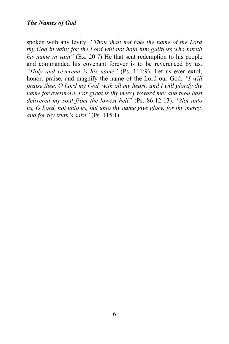spoken with any levity. *"Thou shalt not take the name of the Lord thy God in vain; for the Lord will not hold him guiltless who taketh his name in vain"* (Ex. 20:7) He that sent redemption to his people and commanded his covenant forever is to be reverenced by us. *"Holy and reverend is his name"* (Ps. 111:9). Let us ever extol, honor, praise, and magnify the name of the Lord our God. *"I will praise thee, O Lord my God, with all my heart: and I will glorify thy name for evermore. For great is thy mercy toward me: and thou hast delivered my soul from the lowest hell"* (Ps. 86:12-13). *"Not unto us, O Lord, not unto us, but unto thy name give glory, for thy mercy, and for thy truth's sake"* (Ps. 115:1).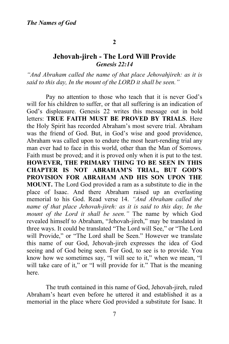#### **2**

# **Jehovah-jireh - The Lord Will Provide** *Genesis 22:14*

*"And Abraham called the name of that place Jehovahjireh: as it is said to this day, In the mount of the LORD it shall be seen."* 

Pay no attention to those who teach that it is never God's will for his children to suffer, or that all suffering is an indication of God's displeasure. Genesis 22 writes this message out in bold letters: **TRUE FAITH MUST BE PROVED BY TRIALS**. Here the Holy Spirit has recorded Abraham's most severe trial. Abraham was the friend of God. But, in God's wise and good providence, Abraham was called upon to endure the most heart-rending trial any man ever had to face in this world, other than the Man of Sorrows. Faith must be proved; and it is proved only when it is put to the test. **HOWEVER, THE PRIMARY THING TO BE SEEN IN THIS CHAPTER IS NOT ABRAHAM'S TRIAL, BUT GOD'S PROVISION FOR ABRAHAM AND HIS SON UPON THE MOUNT.** The Lord God provided a ram as a substitute to die in the place of Isaac. And there Abraham raised up an everlasting memorial to his God. Read verse 14. *"And Abraham called the name of that place Jehovah-jireh: as it is said to this day, In the mount of the Lord it shall be seen."* The name by which God revealed himself to Abraham, "Jehovah-jireh," may be translated in three ways. It could be translated "The Lord will See," or "The Lord will Provide," or "The Lord shall be Seen." However we translate this name of our God, Jehovah-jireh expresses the idea of God seeing and of God being seen. For God, to see is to provide. You know how we sometimes say, "I will see to it," when we mean, "I will take care of it," or "I will provide for it." That is the meaning here.

The truth contained in this name of God, Jehovah-jireh, ruled Abraham's heart even before he uttered it and established it as a memorial in the place where God provided a substitute for Isaac. It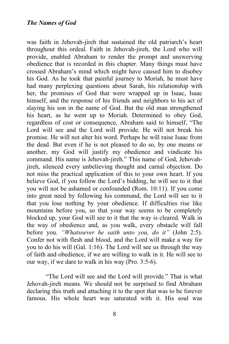was faith in Jehovah-jireh that sustained the old patriarch's heart throughout this ordeal. Faith in Jehovah-jireh, the Lord who will provide, enabled Abraham to render the prompt and unswerving obedience that is recorded in this chapter. Many things must have crossed Abraham's mind which might have caused him to disobey his God. As he took that painful journey to Moriah, he must have had many perplexing questions about Sarah, his relationship with her, the promises of God that were wrapped up in Isaac, Isaac himself, and the response of his friends and neighbors to his act of slaying his son in the name of God. But the old man strengthened his heart, as he went up to Moriah. Determined to obey God, regardless of cost or consequence, Abraham said to himself, "The Lord will see and the Lord will provide. He will not break his promise. He will not alter his word. Perhaps he will raise Isaac from the dead. But even if he is not pleased to do so, by one means or another, my God will justify my obedience and vindicate his command. His name is Jehovah-jireh." This name of God, Jehovahjireh, silenced every unbelieving thought and carnal objection. Do not miss the practical application of this to your own heart. If you believe God, if you follow the Lord's bidding, he will see to it that you will not be ashamed or confounded (Rom. 10:11). If you come into great need by following his command, the Lord will see to it that you lose nothing by your obedience. If difficulties rise like mountains before you, so that your way seems to be completely blocked up, your God will see to it that the way is cleared. Walk in the way of obedience and, as you walk, every obstacle will fall before you. *"Whatsoever he saith unto you, do it"* (John 2:5). Confer not with flesh and blood, and the Lord will make a way for you to do his will (Gal. 1:16). The Lord will see us through the way of faith and obedience, if we are willing to walk in it. He will see to our way, if we dare to walk in his way (Pro. 3:5-6).

"The Lord will see and the Lord will provide." That is what Jehovah-jireh means. We should not be surprised to find Abraham declaring this truth and attaching it to the spot that was to be forever famous. His whole heart was saturated with it. His soul was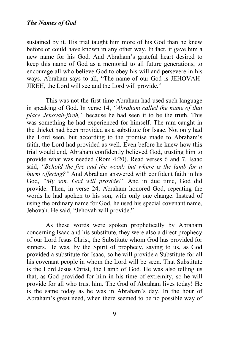sustained by it. His trial taught him more of his God than he knew before or could have known in any other way. In fact, it gave him a new name for his God. And Abraham's grateful heart desired to keep this name of God as a memorial to all future generations, to encourage all who believe God to obey his will and persevere in his ways. Abraham says to all, "The name of our God is JEHOVAH-JIREH, the Lord will see and the Lord will provide."

This was not the first time Abraham had used such language in speaking of God. In verse 14, *"Abraham called the name of that place Jehovah-jireh,"* because he had seen it to be the truth. This was something he had experienced for himself. The ram caught in the thicket had been provided as a substitute for Isaac. Not only had the Lord seen, but according to the promise made to Abraham's faith, the Lord had provided as well. Even before he knew how this trial would end, Abraham confidently believed God, trusting him to provide what was needed (Rom 4:20). Read verses 6 and 7. Isaac said, *"Behold the fire and the wood: but where is the lamb for a burnt offering?"* And Abraham answered with confident faith in his God, *"My son, God will provide!"* And in due time, God did provide. Then, in verse 24, Abraham honored God, repeating the words he had spoken to his son, with only one change. Instead of using the ordinary name for God, he used his special covenant name, Jehovah. He said, "Jehovah will provide."

As these words were spoken prophetically by Abraham concerning Isaac and his substitute, they were also a direct prophecy of our Lord Jesus Christ, the Substitute whom God has provided for sinners. He was, by the Spirit of prophecy, saying to us, as God provided a substitute for Isaac, so he will provide a Substitute for all his covenant people in whom the Lord will be seen. That Substitute is the Lord Jesus Christ, the Lamb of God. He was also telling us that, as God provided for him in his time of extremity, so he will provide for all who trust him. The God of Abraham lives today! He is the same today as he was in Abraham's day. In the hour of Abraham's great need, when there seemed to be no possible way of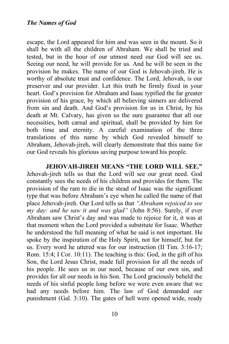escape, the Lord appeared for him and was seen in the mount. So it shall be with all the children of Abraham. We shall be tried and tested, but in the hour of our utmost need our God will see us. Seeing our need, he will provide for us. And he will be seen in the provision he makes. The name of our God is Jehovah-jireh. He is worthy of absolute trust and confidence. The Lord, Jehovah, is our preserver and our provider. Let this truth be firmly fixed in your heart. God's provision for Abraham and Isaac typified the far greater provision of his grace, by which all believing sinners are delivered from sin and death. And God's provision for us in Christ, by his death at Mt. Calvary, has given us the sure guarantee that all our necessities, both carnal and spiritual, shall be provided by him for both time and eternity. A careful examination of the three translations of this name by which God revealed himself to Abraham, Jehovah-jireh, will clearly demonstrate that this name for our God reveals his glorious saving purpose toward his people.

**JEHOVAH-JIREH MEANS "THE LORD WILL SEE."**  Jehovah-jireh tells us that the Lord will see our great need. God constantly sees the needs of his children and provides for them. The provision of the ram to die in the stead of Isaac was the significant type that was before Abraham's eye when he called the name of that place Jehovah-jireh. Our Lord tells us that *"Abraham rejoiced to see my day: and he saw it and was glad"* (John 8:56). Surely, if ever Abraham saw Christ's day and was made to rejoice for it, it was at that moment when the Lord provided a substitute for Isaac. Whether he understood the full meaning of what he said is not important. He spoke by the inspiration of the Holy Spirit, not for himself, but for us. Every word he uttered was for our instruction (II Tim. 3:16-17; Rom. 15:4; I Cor. 10:11). The teaching is this: God, in the gift of his Son, the Lord Jesus Christ, made full provision for all the needs of his people. He sees us in our need, because of our own sin, and provides for all our needs in his Son. The Lord graciously beheld the needs of his sinful people long before we were even aware that we had any needs before him. The law of God demanded our punishment (Gal. 3:10). The gates of hell were opened wide, ready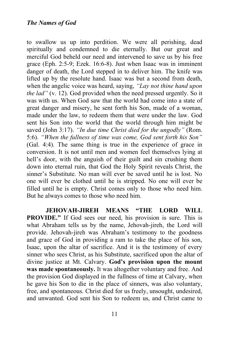to swallow us up into perdition. We were all perishing, dead spiritually and condemned to die eternally. But our great and merciful God beheld our need and intervened to save us by his free grace (Eph. 2:5-9; Ezek. 16:6-8). Just when Isaac was in imminent danger of death, the Lord stepped in to deliver him. The knife was lifted up by the resolute hand. Isaac was but a second from death, when the angelic voice was heard, saying, *"Lay not thine hand upon the lad"* (v. 12). God provided when the need pressed urgently. So it was with us. When God saw that the world had come into a state of great danger and misery, he sent forth his Son, made of a woman, made under the law, to redeem them that were under the law. God sent his Son into the world that the world through him might be saved (John 3:17). *"In due time Christ died for the ungodly"* (Rom. 5:6). *"When the fullness of time was come, God sent forth his Son"* (Gal. 4:4). The same thing is true in the experience of grace in conversion. It is not until men and women feel themselves lying at hell's door, with the anguish of their guilt and sin crushing them down into eternal ruin, that God the Holy Spirit reveals Christ, the sinner's Substitute. No man will ever be saved until he is lost. No one will ever be clothed until he is stripped. No one will ever be filled until he is empty. Christ comes only to those who need him. But he always comes to those who need him.

**JEHOVAH-JIREH MEANS "THE LORD WILL PROVIDE."** If God sees our need, his provision is sure. This is what Abraham tells us by the name, Jehovah-jireh, the Lord will provide. Jehovah-jireh was Abraham's testimony to the goodness and grace of God in providing a ram to take the place of his son, Isaac, upon the altar of sacrifice. And it is the testimony of every sinner who sees Christ, as his Substitute, sacrificed upon the altar of divine justice at Mt. Calvary. **God's provision upon the mount was made spontaneously.** It was altogether voluntary and free. And the provision God displayed in the fullness of time at Calvary, when he gave his Son to die in the place of sinners, was also voluntary, free, and spontaneous. Christ died for us freely, unsought, undesired, and unwanted. God sent his Son to redeem us, and Christ came to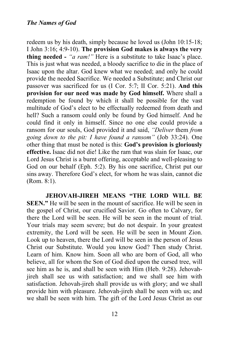redeem us by his death, simply because he loved us (John 10:15-18; I John 3:16; 4:9-10). **The provision God makes is always the very thing needed -** *"a ram!"* Here is a substitute to take Isaac's place. This is just what was needed, a bloody sacrifice to die in the place of Isaac upon the altar. God knew what we needed; and only he could provide the needed Sacrifice. We needed a Substitute; and Christ our passover was sacrificed for us (I Cor. 5:7; II Cor. 5:21). **And this provision for our need was made by God himself.** Where shall a redemption be found by which it shall be possible for the vast multitude of God's elect to be effectually redeemed from death and hell? Such a ransom could only be found by God himself. And he could find it only in himself. Since no one else could provide a ransom for our souls, God provided it and said, *"Deliver* them *from going down to the pit: I have found a ransom"* (Job 33:24). One other thing that must be noted is this: **God's provision is gloriously effective.** Isaac did not die! Like the ram that was slain for Isaac, our Lord Jesus Christ is a burnt offering, acceptable and well-pleasing to God on our behalf (Eph. 5:2). By his one sacrifice, Christ put our sins away. Therefore God's elect, for whom he was slain, cannot die (Rom. 8:1).

**JEHOVAH-JIREH MEANS "THE LORD WILL BE SEEN."** He will be seen in the mount of sacrifice. He will be seen in the gospel of Christ, our crucified Savior. Go often to Calvary, for there the Lord will be seen. He will be seen in the mount of trial. Your trials may seem severe; but do not despair. In your greatest extremity, the Lord will be seen. He will be seen in Mount Zion. Look up to heaven, there the Lord will be seen in the person of Jesus Christ our Substitute. Would you know God? Then study Christ. Learn of him. Know him. Soon all who are born of God, all who believe, all for whom the Son of God died upon the cursed tree, will see him as he is, and shall be seen with Him (Heb. 9:28). Jehovahjireh shall see us with satisfaction; and we shall see him with satisfaction. Jehovah-jireh shall provide us with glory; and we shall provide him with pleasure. Jehovah-jireh shall be seen with us; and we shall be seen with him. The gift of the Lord Jesus Christ as our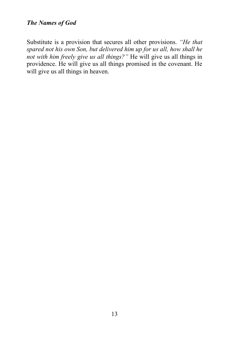Substitute is a provision that secures all other provisions. *"He that spared not his own Son, but delivered him up for us all, how shall he not with him freely give us all things?"* He will give us all things in providence. He will give us all things promised in the covenant. He will give us all things in heaven.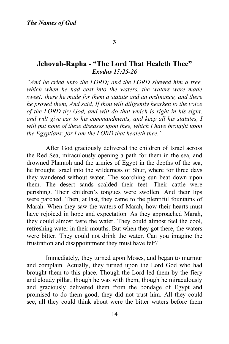## **Jehovah-Rapha - "The Lord That Healeth Thee"** *Exodus 15:25-26*

*"And he cried unto the LORD; and the LORD shewed him a tree, which when he had cast into the waters, the waters were made sweet: there he made for them a statute and an ordinance, and there he proved them, And said, If thou wilt diligently hearken to the voice of the LORD thy God, and wilt do that which is right in his sight, and wilt give ear to his commandments, and keep all his statutes, I will put none of these diseases upon thee, which I have brought upon the Egyptians: for I am the LORD that healeth thee."*

After God graciously delivered the children of Israel across the Red Sea, miraculously opening a path for them in the sea, and drowned Pharaoh and the armies of Egypt in the depths of the sea, he brought Israel into the wilderness of Shur, where for three days they wandered without water. The scorching sun beat down upon them. The desert sands scalded their feet. Their cattle were perishing. Their children's tongues were swollen. And their lips were parched. Then, at last, they came to the plentiful fountains of Marah. When they saw the waters of Marah, how their hearts must have rejoiced in hope and expectation. As they approached Marah, they could almost taste the water. They could almost feel the cool, refreshing water in their mouths. But when they got there, the waters were bitter. They could not drink the water. Can you imagine the frustration and disappointment they must have felt?

Immediately, they turned upon Moses, and began to murmur and complain. Actually, they turned upon the Lord God who had brought them to this place. Though the Lord led them by the fiery and cloudy pillar, though he was with them, though he miraculously and graciously delivered them from the bondage of Egypt and promised to do them good, they did not trust him. All they could see, all they could think about were the bitter waters before them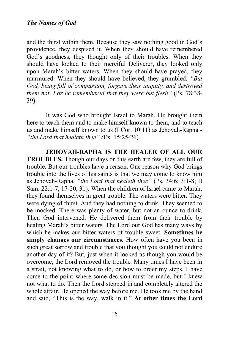and the thirst within them. Because they saw nothing good in God's providence, they despised it. When they should have remembered God's goodness, they thought only of their troubles. When they should have looked to their merciful Deliverer, they looked only upon Marah's bitter waters. When they should have prayed, they murmured. When they should have believed, they grumbled. *"But God, being full of compassion, forgave their iniquity, and destroyed them not. For he remembered that they were but flesh"* (Ps. 78:38- 39).

It was God who brought Israel to Marah. He brought them here to teach them and to make himself known to them, and to teach us and make himself known to us (I Cor. 10:11) as Jehovah-Rapha - *"the Lord that healeth thee" (*Ex. 15:25-26).

**JEHOVAH-RAPHA IS THE HEALER OF ALL OUR TROUBLES.** Though our days on this earth are few, they are full of trouble. But our troubles have a reason. One reason why God brings trouble into the lives of his saints is that we may come to know him as Jehovah-Rapha, *"the Lord that healeth thee"* (Ps. 34:6; 3:1-8; II Sam. 22:1-7, 17-20, 31). When the children of Israel came to Marah, they found themselves in great trouble. The waters were bitter. They were dying of thirst. And they had nothing to drink. They seemed to be mocked. There was plenty of water, but not an ounce to drink. Then God intervened. He delivered them from their trouble by healing Marah's bitter waters. The Lord our God has many ways by which he makes our bitter waters of trouble sweet. **Sometimes he**  simply changes our circumstances. How often have you been in such great sorrow and trouble that you thought you could not endure another day of it? But, just when it looked as though you would be overcome, the Lord removed the trouble. Many times I have been in a strait, not knowing what to do, or how to order my steps. I have come to the point where some decision must be made, but I knew not what to do. Then the Lord stepped in and completely altered the whole affair. He opened the way before me. He took me by the hand and said, "This is the way, walk in it." **At other times the Lord**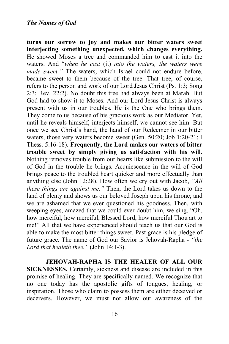**turns our sorrow to joy and makes our bitter waters sweet interjecting something unexpected, which changes everything.**  He showed Moses a tree and commanded him to cast it into the waters. And "*when he cast* (it) *into the waters, the waters were made sweet."* The waters, which Israel could not endure before, became sweet to them because of the tree. That tree, of course, refers to the person and work of our Lord Jesus Christ (Ps. 1:3; Song 2:3; Rev. 22:2). No doubt this tree had always been at Marah. But God had to show it to Moses. And our Lord Jesus Christ is always present with us in our troubles. He is the One who brings them. They come to us because of his gracious work as our Mediator. Yet, until he reveals himself, interjects himself, we cannot see him. But once we see Christ's hand, the hand of our Redeemer in our bitter waters, those very waters become sweet (Gen. 50:20; Job 1:20-21; I Thess. 5:16-18). **Frequently, the Lord makes our waters of bitter trouble sweet by simply giving us satisfaction with his will.**  Nothing removes trouble from our hearts like submission to the will of God in the trouble he brings. Acquiescence in the will of God brings peace to the troubled heart quicker and more effectually than anything else (John 12:28). How often we cry out with Jacob, *"All these things are against me."* Then, the Lord takes us down to the land of plenty and shows us our beloved Joseph upon his throne; and we are ashamed that we ever questioned his goodness. Then, with weeping eyes, amazed that we could ever doubt him, we sing, "Oh, how merciful, how merciful, Blessed Lord, how merciful Thou art to me!" All that we have experienced should teach us that our God is able to make the most bitter things sweet. Past grace is his pledge of future grace. The name of God our Savior is Jehovah-Rapha - *"the Lord that healeth thee."* (John 14:1-3).

**JEHOVAH-RAPHA IS THE HEALER OF ALL OUR SICKNESSES.** Certainly, sickness and disease are included in this promise of healing. They are specifically named. We recognize that no one today has the apostolic gifts of tongues, healing, or inspiration. Those who claim to possess them are either deceived or deceivers. However, we must not allow our awareness of the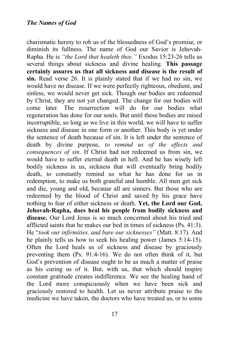charismatic heresy to rob us of the blessedness of God's promise, or diminish its fullness. The name of God our Savior is Jehovah-Rapha. He is *"the Lord that healeth thee."* Exodus 15:23-26 tells us several things about sickness and divine healing. **This passage certainly assures us that all sickness and disease is the result of sin.** Read verse 26. It is plainly stated that if we had no sin, we would have no disease. If we were perfectly righteous, obedient, and sinless, we would never get sick. Though our bodies are redeemed by Christ, they are not yet changed. The change for our bodies will come later. The resurrection will do for our bodies what regeneration has done for our souls. But until these bodies are raised incorruptible, so long as we live in this world, we will have to suffer sickness and disease in one form or another. This body is yet under the sentence of death because of sin. It is left under the sentence of death by divine purpose, *to remind us of the effects and consequences of sin*. If Christ had not redeemed us from sin, we would have to suffer eternal death in hell. And he has wisely left bodily sickness in us, sickness that will eventually bring bodily death, to constantly remind us what he has done for us in redemption, to make us both grateful and humble. All men get sick and die, young and old, because all are sinners. But those who are redeemed by the blood of Christ and saved by his grace have nothing to fear of either sickness or death. **Yet, the Lord our God, Jehovah-Rapha, does heal his people from bodily sickness and disease.** Our Lord Jesus is so much concerned about his tried and afflicted saints that he makes our bed in times of sickness (Ps. 41:3). He "*took our infirmities, and bare our sicknesses"* (Matt. 8:17). And he plainly tells us how to seek his healing power (James 5:14-15). Often the Lord heals us of sickness and disease by graciously preventing them (Ps. 91:4-16). We do not often think of it, but God's prevention of disease ought to be as much a matter of praise as his curing us of it. But, with us, that which should inspire constant gratitude creates indifference. We see the healing hand of the Lord more conspicuously when we have been sick and graciously restored to health. Let us never attribute praise to the medicine we have taken, the doctors who have treated us, or to some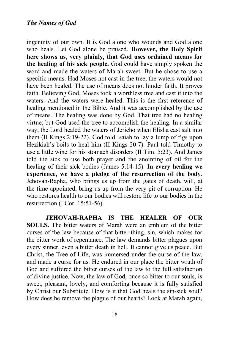ingenuity of our own. It is God alone who wounds and God alone who heals. Let God alone be praised. **However, the Holy Spirit here shows us, very plainly, that God uses ordained means for the healing of his sick people.** God could have simply spoken the word and made the waters of Marah sweet. But he chose to use a specific means. Had Moses not cast in the tree, the waters would not have been healed. The use of means does not hinder faith. It proves faith. Believing God, Moses took a worthless tree and cast it into the waters. And the waters were healed. This is the first reference of healing mentioned in the Bible. And it was accomplished by the use of means. The healing was done by God. That tree had no healing virtue; but God used the tree to accomplish the healing. In a similar way, the Lord healed the waters of Jericho when Elisha cast salt into them (II Kings 2:19-22). God told Isaiah to lay a lump of figs upon Hezikiah's boils to heal him (II Kings 20:7). Paul told Timothy to use a little wine for his stomach disorders (II Tim. 5:23). And James told the sick to use both prayer and the anointing of oil for the healing of their sick bodies (James 5:14-15). **In every healing we experience, we have a pledge of the resurrection of the body.**  Jehovah-Rapha, who brings us up from the gates of death, will, at the time appointed, bring us up from the very pit of corruption. He who restores health to our bodies will restore life to our bodies in the resurrection (I Cor. 15:51-56).

**JEHOVAH-RAPHA IS THE HEALER OF OUR SOULS.** The bitter waters of Marah were an emblem of the bitter curses of the law because of that bitter thing, sin, which makes for the bitter work of repentance. The law demands bitter plagues upon every sinner, even a bitter death in hell. It cannot give us peace. But Christ, the Tree of Life, was immersed under the curse of the law, and made a curse for us. He endured in our place the bitter wrath of God and suffered the bitter curses of the law to the full satisfaction of divine justice. Now, the law of God, once so bitter to our souls, is sweet, pleasant, lovely, and comforting because it is fully satisfied by Christ our Substitute. How is it that God heals the sin-sick soul? How does he remove the plague of our hearts? Look at Marah again,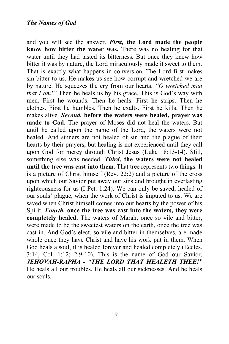and you will see the answer. *First,* **the Lord made the people know how bitter the water was.** There was no healing for that water until they had tasted its bitterness. But once they knew how bitter it was by nature, the Lord miraculously made it sweet to them. That is exactly what happens in conversion. The Lord first makes sin bitter to us. He makes us see how corrupt and wretched we are by nature. He squeezes the cry from our hearts, *"O wretched man that I am!*" Then he heals us by his grace. This is God's way with men. First he wounds. Then he heals. First he strips. Then he clothes. First he humbles. Then he exalts. First he kills. Then he makes alive. *Second,* **before the waters were healed, prayer was made to God.** The prayer of Moses did not heal the waters. But until he called upon the name of the Lord, the waters were not healed. And sinners are not healed of sin and the plague of their hearts by their prayers, but healing is not experienced until they call upon God for mercy through Christ Jesus (Luke 18:13-14). Still, something else was needed. *Third,* **the waters were not healed until the tree was cast into them.** That tree represents two things. It is a picture of Christ himself (Rev. 22:2) and a picture of the cross upon which our Savior put away our sins and brought in everlasting righteousness for us (I Pet. 1:24). We can only be saved, healed of our souls' plague, when the work of Christ is imputed to us. We are saved when Christ himself comes into our hearts by the power of his Spirit. *Fourth,* **once the tree was cast into the waters, they were completely healed.** The waters of Marah, once so vile and bitter, were made to be the sweetest waters on the earth, once the tree was cast in. And God's elect, so vile and bitter in themselves, are made whole once they have Christ and have his work put in them. When God heals a soul, it is healed forever and healed completely (Eccles. 3:14; Col. 1:12; 2:9-10). This is the name of God our Savior, *JEHOVAH-RAPHA - "THE LORD THAT HEALETH THEE!"* He heals all our troubles. He heals all our sicknesses. And he heals our souls.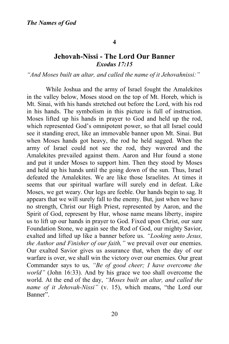#### **4**

# **Jehovah-Nissi - The Lord Our Banner** *Exodus 17:15*

## *"And Moses built an altar, and called the name of it Jehovahnissi:"*

While Joshua and the army of Israel fought the Amalekites in the valley below, Moses stood on the top of Mt. Horeb, which is Mt. Sinai, with his hands stretched out before the Lord, with his rod in his hands. The symbolism in this picture is full of instruction. Moses lifted up his hands in prayer to God and held up the rod, which represented God's omnipotent power, so that all Israel could see it standing erect, like an immovable banner upon Mt. Sinai. But when Moses hands got heavy, the rod he held sagged. When the army of Israel could not see the rod, they wavered and the Amalekites prevailed against them. Aaron and Hur found a stone and put it under Moses to support him. Then they stood by Moses and held up his hands until the going down of the sun. Thus, Israel defeated the Amalekites. We are like those Israelites. At times it seems that our spiritual warfare will surely end in defeat. Like Moses, we get weary. Our legs are feeble. Our hands begin to sag. It appears that we will surely fall to the enemy. But, just when we have no strength, Christ our High Priest, represented by Aaron, and the Spirit of God, represent by Hur, whose name means liberty, inspire us to lift up our hands in prayer to God. Fixed upon Christ, our sure Foundation Stone, we again see the Rod of God, our mighty Savior, exalted and lifted up like a banner before us. *"Looking unto Jesus, the Author and Finisher of our faith,"* we prevail over our enemies. Our exalted Savior gives us assurance that, when the day of our warfare is over, we shall win the victory over our enemies. Our great Commander says to us, *"Be of good cheer; I have overcome the world"* (John 16:33). And by his grace we too shall overcome the world. At the end of the day, *"Moses built an altar, and called the name of it Jehovah-Nissi"* (v. 15), which means, "the Lord our Banner".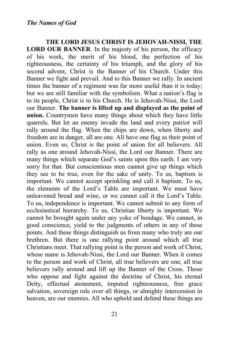**THE LORD JESUS CHRIST IS JEHOVAH-NISSI, THE LORD OUR BANNER**. In the majesty of his person, the efficacy of his work, the merit of his blood, the perfection of his righteousness, the certainty of his triumph, and the glory of his second advent, Christ is the Banner of his Church. Under this Banner we fight and prevail. And to this Banner we rally. In ancient times the banner of a regiment was far more useful than it is today; but we are still familiar with the symbolism. What a nation's flag is to its people, Christ is to his Church. He is Jehovah-Nissi, the Lord our Banner. **The banner is lifted up and displayed as the point of union.** Countrymen have many things about which they have little quarrels. But let an enemy invade the land and every patriot will rally around the flag. When the chips are down, when liberty and freedom are in danger, all are one. All have one flag as their point of union. Even so, Christ is the point of union for all believers. All rally as one around Jehovah-Nissi, the Lord our Banner. There are many things which separate God's saints upon this earth. I am very sorry for that. But conscientious men cannot give up things which they see to be true, even for the sake of unity. To us, baptism is important. We cannot accept sprinkling and call it baptism. To us, the elements of the Lord's Table are important. We must have unleavened bread and wine, or we cannot call it the Lord's Table. To us, independence is important. We cannot submit to any form of ecclesiastical hierarchy. To us, Christian liberty is important. We cannot be brought again under any yoke of bondage. We cannot, in good conscience, yield to the judgments of others in any of these points. And these things distinguish us from many who truly are our brethren. But there is one rallying point around which all true Christians meet. That rallying point is the person and work of Christ, whose name is Jehovah-Nissi, the Lord our Banner. When it comes to the person and work of Christ, all true believers are one, all true believers rally around and lift up the Banner of the Cross. Those who oppose and fight against the doctrine of Christ, his eternal Deity, effectual atonement, imputed righteousness, free grace salvation, sovereign rule over all things, or almighty intercession in heaven, are our enemies. All who uphold and defend these things are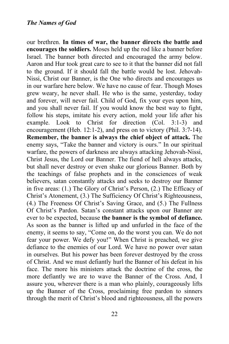our brethren. **In times of war, the banner directs the battle and encourages the soldiers.** Moses held up the rod like a banner before Israel. The banner both directed and encouraged the army below. Aaron and Hur took great care to see to it that the banner did not fall to the ground. If it should fall the battle would be lost. Jehovah-Nissi, Christ our Banner, is the One who directs and encourages us in our warfare here below. We have no cause of fear. Though Moses grew weary, he never shall. He who is the same, yesterday, today and forever, will never fail. Child of God, fix your eyes upon him, and you shall never fail. If you would know the best way to fight, follow his steps, imitate his every action, mold your life after his example. Look to Christ for direction (Col. 3:1-3) and encouragement (Heb. 12:1-2), and press on to victory (Phil. 3:7-14). **Remember, the banner is always the chief object of attack.** The enemy says, "Take the banner and victory is ours." In our spiritual warfare, the powers of darkness are always attacking Jehovah-Nissi, Christ Jesus, the Lord our Banner. The fiend of hell always attacks, but shall never destroy or even shake our glorious Banner. Both by the teachings of false prophets and in the consciences of weak believers, satan constantly attacks and seeks to destroy our Banner in five areas: (1.) The Glory of Christ's Person, (2.) The Efficacy of Christ's Atonement, (3.) The Sufficiency Of Christ's Righteousness, (4.) The Freeness Of Christ's Saving Grace, and (5.) The Fullness Of Christ's Pardon. Satan's constant attacks upon our Banner are ever to be expected, because **the banner is the symbol of defiance.**  As soon as the banner is lifted up and unfurled in the face of the enemy, it seems to say, "Come on, do the worst you can. We do not fear your power. We defy you!" When Christ is preached, we give defiance to the enemies of our Lord. We have no power over satan in ourselves. But his power has been forever destroyed by the cross of Christ. And we must defiantly hurl the Banner of his defeat in his face. The more his ministers attack the doctrine of the cross, the more defiantly we are to wave the Banner of the Cross. And, I assure you, wherever there is a man who plainly, courageously lifts up the Banner of the Cross, proclaiming free pardon to sinners through the merit of Christ's blood and righteousness, all the powers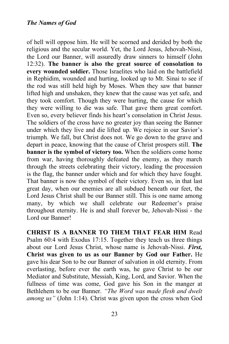of hell will oppose him. He will be scorned and derided by both the religious and the secular world. Yet, the Lord Jesus, Jehovah-Nissi, the Lord our Banner, will assuredly draw sinners to himself (John 12:32). **The banner is also the great source of consolation to every wounded soldier.** Those Israelites who laid on the battlefield in Rephidim, wounded and hurting, looked up to Mt. Sinai to see if the rod was still held high by Moses. When they saw that banner lifted high and unshaken, they knew that the cause was yet safe, and they took comfort. Though they were hurting, the cause for which they were willing to die was safe. That gave them great comfort. Even so, every believer finds his heart's consolation in Christ Jesus. The soldiers of the cross have no greater joy than seeing the Banner under which they live and die lifted up. We rejoice in our Savior's triumph. We fall, but Christ does not. We go down to the grave and depart in peace, knowing that the cause of Christ prospers still. **The banner is the symbol of victory too.** When the soldiers come home from war, having thoroughly defeated the enemy, as they march through the streets celebrating their victory, leading the procession is the flag, the banner under which and for which they have fought. That banner is now the symbol of their victory. Even so, in that last great day, when our enemies are all subdued beneath our feet, the Lord Jesus Christ shall be our Banner still. This is one name among many, by which we shall celebrate our Redeemer's praise throughout eternity. He is and shall forever be, Jehovah-Nissi - the Lord our Banner!

**CHRIST IS A BANNER TO THEM THAT FEAR HIM** Read Psalm 60:4 with Exodus 17:15. Together they teach us three things about our Lord Jesus Christ, whose name is Jehovah-Nissi. *First,*  **Christ was given to us as our Banner by God our Father.** He gave his dear Son to be our Banner of salvation in old eternity. From everlasting, before ever the earth was, he gave Christ to be our Mediator and Substitute, Messiah, King, Lord, and Savior. When the fullness of time was come, God gave his Son in the manger at Bethlehem to be our Banner. *"The Word was made flesh and dwelt among us"* (John 1:14). Christ was given upon the cross when God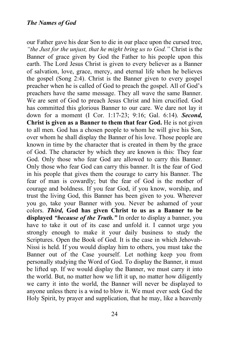our Father gave his dear Son to die in our place upon the cursed tree, *"the Just for the unjust, that he might bring us to God."* Christ is the Banner of grace given by God the Father to his people upon this earth. The Lord Jesus Christ is given to every believer as a Banner of salvation, love, grace, mercy, and eternal life when he believes the gospel (Song 2:4). Christ is the Banner given to every gospel preacher when he is called of God to preach the gospel. All of God's preachers have the same message. They all wave the same Banner. We are sent of God to preach Jesus Christ and him crucified. God has committed this glorious Banner to our care. We dare not lay it down for a moment (I Cor. 1:17-23; 9:16; Gal. 6:14). *Second,*  **Christ is given as a Banner to them that fear God.** He is not given to all men. God has a chosen people to whom he will give his Son, over whom he shall display the Banner of his love. Those people are known in time by the character that is created in them by the grace of God. The character by which they are known is this: They fear God. Only those who fear God are allowed to carry this Banner. Only those who fear God can carry this banner. It is the fear of God in his people that gives them the courage to carry his Banner. The fear of man is cowardly; but the fear of God is the mother of courage and boldness. If you fear God, if you know, worship, and trust the living God, this Banner has been given to you. Wherever you go, take your Banner with you. Never be ashamed of your colors. *Third,* **God has given Christ to us as a Banner to be displayed** *"because of the Truth."* In order to display a banner, you have to take it out of its case and unfold it. I cannot urge you strongly enough to make it your daily business to study the Scriptures. Open the Book of God. It is the case in which Jehovah-Nissi is held. If you would display him to others, you must take the Banner out of the Case yourself. Let nothing keep you from personally studying the Word of God. To display the Banner, it must be lifted up. If we would display the Banner, we must carry it into the world. But, no matter how we lift it up, no matter how diligently we carry it into the world, the Banner will never be displayed to anyone unless there is a wind to blow it. We must ever seek God the Holy Spirit, by prayer and supplication, that he may, like a heavenly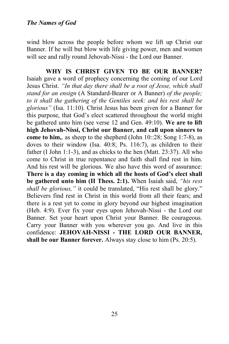wind blow across the people before whom we lift up Christ our Banner. If he will but blow with life giving power, men and women will see and rally round Jehovah-Nissi - the Lord our Banner.

**WHY IS CHRIST GIVEN TO BE OUR BANNER?**  Isaiah gave a word of prophecy concerning the coming of our Lord Jesus Christ. *"In that day there shall be a root of Jesse, which shall stand for an ensign* (A Standard-Bearer or A Banner) *of the people; to it shall the gathering of the Gentiles seek: and his rest shall be glorious"* (Isa. 11:10). Christ Jesus has been given for a Banner for this purpose, that God's elect scattered throughout the world might be gathered unto him (see verse 12 and Gen. 49:10). **We are to lift high Jehovah-Nissi, Christ our Banner, and call upon sinners to come to him,**. as sheep to the shepherd (John 10::28; Song 1:7-8), as doves to their window (Isa. 40:8; Ps. 116:7), as children to their father (I John 1:1-3), and as chicks to the hen (Matt. 23:37). All who come to Christ in true repentance and faith shall find rest in him. And his rest will be glorious. We also have this word of assurance: **There is a day coming in which all the hosts of God's elect shall be gathered unto him (II Thess. 2:1).** When Isaiah said, *"his rest shall be glorious,"* it could be translated, "His rest shall be glory." Believers find rest in Christ in this world from all their fears; and there is a rest yet to come in glory beyond our highest imagination (Heb. 4:9). Ever fix your eyes upon Jehovah-Nissi - the Lord our Banner. Set your heart upon Christ your Banner. Be courageous. Carry your Banner with you wherever you go. And live in this confidence: **JEHOVAH-NISSI - THE LORD OUR BANNER, shall be our Banner forever.** Always stay close to him (Ps. 20:5).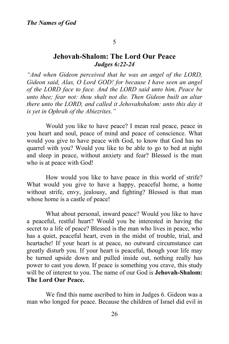#### 5

# **Jehovah-Shalom: The Lord Our Peace** *Judges 6:22-24*

*"And when Gideon perceived that he was an angel of the LORD, Gideon said, Alas, O Lord GOD! for because I have seen an angel of the LORD face to face. And the LORD said unto him, Peace be unto thee; fear not: thou shalt not die. Then Gideon built an altar there unto the LORD, and called it Jehovahshalom: unto this day it is yet in Ophrah of the Abiezrites."* 

Would you like to have peace? I mean real peace, peace in you heart and soul, peace of mind and peace of conscience. What would you give to have peace with God, to know that God has no quarrel with you? Would you like to be able to go to bed at night and sleep in peace, without anxiety and fear? Blessed is the man who is at peace with God!

How would you like to have peace in this world of strife? What would you give to have a happy, peaceful home, a home without strife, envy, jealousy, and fighting? Blessed is that man whose home is a castle of peace!

What about personal, inward peace? Would you like to have a peaceful, restful heart? Would you be interested in having the secret to a life of peace? Blessed is the man who lives in peace, who has a quiet, peaceful heart, even in the midst of trouble, trial, and heartache! If your heart is at peace, no outward circumstance can greatly disturb you. If your heart is peaceful, though your life may be turned upside down and pulled inside out, nothing really has power to cast you down. If peace is something you crave, this study will be of interest to you. The name of our God is **Jehovah-Shalom: The Lord Our Peace.**

We find this name ascribed to him in Judges 6. Gideon was a man who longed for peace. Because the children of Israel did evil in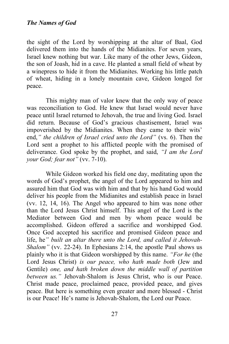the sight of the Lord by worshipping at the altar of Baal, God delivered them into the hands of the Midianites. For seven years, Israel knew nothing but war. Like many of the other Jews, Gideon, the son of Joash, hid in a cave. He planted a small field of wheat by a winepress to hide it from the Midianites. Working his little patch of wheat, hiding in a lonely mountain cave, Gideon longed for peace.

This mighty man of valor knew that the only way of peace was reconciliation to God. He knew that Israel would never have peace until Israel returned to Jehovah, the true and living God. Israel did return. Because of God's gracious chastisement, Israel was impoverished by the Midianites. When they came to their wits' end,*" the children of Israel cried unto the Lord"* (vs. 6). Then the Lord sent a prophet to his afflicted people with the promised of deliverance. God spoke by the prophet, and said, *"I am the Lord your God; fear not"* (vv. 7-10).

While Gideon worked his field one day, meditating upon the words of God's prophet, the angel of the Lord appeared to him and assured him that God was with him and that by his hand God would deliver his people from the Midianites and establish peace in Israel (vv. 12, 14, 16). The Angel who appeared to him was none other than the Lord Jesus Christ himself. This angel of the Lord is the Mediator between God and men by whom peace would be accomplished. Gideon offered a sacrifice and worshipped God. Once God accepted his sacrifice and promised Gideon peace and life, he*" built an altar there unto the Lord, and called it Jehovah-Shalom"* (vv. 22-24). In Ephesians 2:14, the apostle Paul shows us plainly who it is that Gideon worshipped by this name. *"For he* (the Lord Jesus Christ) *is our peace, who hath made both* (Jew and Gentile) *one, and hath broken down the middle wall of partition between us."* Jehovah-Shalom is Jesus Christ, who is our Peace. Christ made peace, proclaimed peace, provided peace, and gives peace. But here is something even greater and more blessed - Christ is our Peace! He's name is Jehovah-Shalom, the Lord our Peace.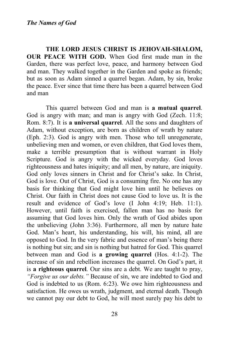**THE LORD JESUS CHRIST IS JEHOVAH-SHALOM, OUR PEACE WITH GOD.** When God first made man in the Garden, there was perfect love, peace, and harmony between God and man. They walked together in the Garden and spoke as friends; but as soon as Adam sinned a quarrel began. Adam, by sin, broke the peace. Ever since that time there has been a quarrel between God and man

This quarrel between God and man is **a mutual quarrel**. God is angry with man; and man is angry with God (Zech. 11:8; Rom. 8:7). It is **a universal quarrel**. All the sons and daughters of Adam, without exception, are born as children of wrath by nature (Eph. 2:3). God is angry with men. Those who tell unregenerate, unbelieving men and women, or even children, that God loves them, make a terrible presumption that is without warrant in Holy Scripture. God is angry with the wicked everyday. God loves righteousness and hates iniquity; and all men, by nature, are iniquity. God only loves sinners in Christ and for Christ's sake. In Christ, God is love. Out of Christ, God is a consuming fire. No one has any basis for thinking that God might love him until he believes on Christ. Our faith in Christ does not cause God to love us. It is the result and evidence of God's love (I John 4:19; Heb. 11:1). However, until faith is exercised, fallen man has no basis for assuming that God loves him. Only the wrath of God abides upon the unbelieving (John 3:36). Furthermore, all men by nature hate God. Man's heart, his understanding, his will, his mind, all are opposed to God. In the very fabric and essence of man's being there is nothing but sin; and sin is nothing but hatred for God. This quarrel between man and God is **a growing quarrel** (Hos. 4:1-2). The increase of sin and rebellion increases the quarrel. On God's part, it is **a righteous quarrel**. Our sins are a debt. We are taught to pray, *"Forgive us our debts."* Because of sin, we are indebted to God and God is indebted to us (Rom. 6:23). We owe him righteousness and satisfaction. He owes us wrath, judgment, and eternal death. Though we cannot pay our debt to God, he will most surely pay his debt to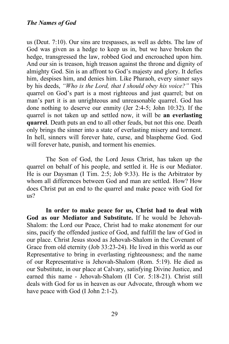us (Deut. 7:10). Our sins are trespasses, as well as debts. The law of God was given as a hedge to keep us in, but we have broken the hedge, transgressed the law, robbed God and encroached upon him. And our sin is treason, high treason against the throne and dignity of almighty God. Sin is an affront to God's majesty and glory. It defies him, despises him, and denies him. Like Pharaoh, every sinner says by his deeds, *"Who is the Lord, that I should obey his voice?"* This quarrel on God's part is a most righteous and just quarrel; but on man's part it is an unrighteous and unreasonable quarrel. God has done nothing to deserve our enmity (Jer 2:4-5; John 10:32). If the quarrel is not taken up and settled now, it will be **an everlasting quarrel**. Death puts an end to all other feuds, but not this one. Death only brings the sinner into a state of everlasting misery and torment. In hell, sinners will forever hate, curse, and blaspheme God. God will forever hate, punish, and torment his enemies.

The Son of God, the Lord Jesus Christ, has taken up the quarrel on behalf of his people, and settled it. He is our Mediator. He is our Daysman (I Tim. 2:5; Job 9:33). He is the Arbitrator by whom all differences between God and man are settled. How? How does Christ put an end to the quarrel and make peace with God for us?

**In order to make peace for us, Christ had to deal with God as our Mediator and Substitute.** If he would be Jehovah-Shalom: the Lord our Peace, Christ had to make atonement for our sins, pacify the offended justice of God, and fulfill the law of God in our place. Christ Jesus stood as Jehovah-Shalom in the Covenant of Grace from old eternity (Job 33:23-24). He lived in this world as our Representative to bring in everlasting righteousness; and the name of our Representative is Jehovah-Shalom (Rom. 5:19). He died as our Substitute, in our place at Calvary, satisfying Divine Justice, and earned this name - Jehovah-Shalom (II Cor. 5:18-21). Christ still deals with God for us in heaven as our Advocate, through whom we have peace with God (I John 2:1-2).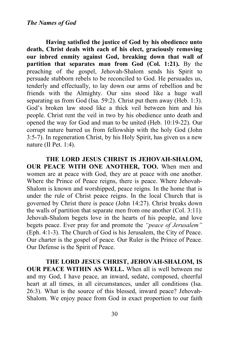**Having satisfied the justice of God by his obedience unto death, Christ deals with each of his elect, graciously removing our inbred enmity against God, breaking down that wall of partition that separates man from God (Col. 1:21).** By the preaching of the gospel, Jehovah-Shalom sends his Spirit to persuade stubborn rebels to be reconciled to God. He persuades us, tenderly and effectually, to lay down our arms of rebellion and be friends with the Almighty. Our sins stood like a huge wall separating us from God (Isa. 59:2). Christ put them away (Heb. 1:3). God's broken law stood like a thick veil between him and his people. Christ rent the veil in two by his obedience unto death and opened the way for God and man to be united (Heb. 10:19-22). Our corrupt nature barred us from fellowship with the holy God (John 3:5-7). In regeneration Christ, by his Holy Spirit, has given us a new nature (II Pet. 1:4).

**THE LORD JESUS CHRIST IS JEHOVAH-SHALOM, OUR PEACE WITH ONE ANOTHER, TOO.** When men and women are at peace with God, they are at peace with one another. Where the Prince of Peace reigns, there is peace. Where Jehovah-Shalom is known and worshipped, peace reigns. In the home that is under the rule of Christ peace reigns. In the local Church that is governed by Christ there is peace (John 14:27). Christ breaks down the walls of partition that separate men from one another (Col. 3:11). Jehovah-Shalom begets love in the hearts of his people, and love begets peace. Ever pray for and promote the *"peace of Jerusalem"* (Eph. 4:1-3). The Church of God is his Jerusalem, the City of Peace. Our charter is the gospel of peace. Our Ruler is the Prince of Peace. Our Defense is the Spirit of Peace.

**THE LORD JESUS CHRIST, JEHOVAH-SHALOM, IS OUR PEACE WITHIN AS WELL.** When all is well between me and my God, I have peace, an inward, sedate, composed, cheerful heart at all times, in all circumstances, under all conditions (Isa. 26:3). What is the source of this blessed, inward peace? Jehovah-Shalom. We enjoy peace from God in exact proportion to our faith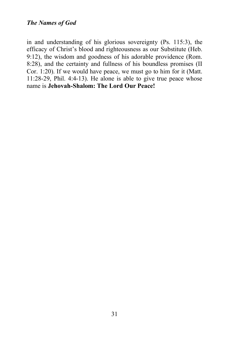in and understanding of his glorious sovereignty (Ps. 115:3), the efficacy of Christ's blood and righteousness as our Substitute (Heb. 9:12), the wisdom and goodness of his adorable providence (Rom. 8:28), and the certainty and fullness of his boundless promises (II Cor. 1:20). If we would have peace, we must go to him for it (Matt. 11:28-29, Phil. 4:4-13). He alone is able to give true peace whose name is **Jehovah-Shalom: The Lord Our Peace!**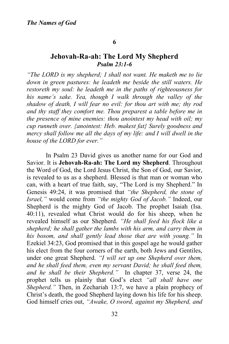#### **6**

## **Jehovah-Ra-ah: The Lord My Shepherd** *Psalm 23:1-6*

*"The LORD is my shepherd; I shall not want. He maketh me to lie down in green pastures: he leadeth me beside the still waters. He restoreth my soul: he leadeth me in the paths of righteousness for his name's sake. Yea, though I walk through the valley of the shadow of death, I will fear no evil: for thou art with me; thy rod and thy staff they comfort me. Thou preparest a table before me in the presence of mine enemies: thou anointest my head with oil; my cup runneth over. {anointest: Heb. makest fat} Surely goodness and mercy shall follow me all the days of my life: and I will dwell in the house of the LORD for ever."*

In Psalm 23 David gives us another name for our God and Savior. It is **Jehovah-Ra-ah: The Lord my Shepherd**. Throughout the Word of God, the Lord Jesus Christ, the Son of God, our Savior, is revealed to us as a shepherd. Blessed is that man or woman who can, with a heart of true faith, say, "The Lord is my Shepherd." In Genesis 49:24, it was promised that *"the Shepherd, the stone of Israel,"* would come from *"the mighty God of Jacob."* Indeed, our Shepherd is the mighty God of Jacob. The prophet Isaiah (Isa. 40:11), revealed what Christ would do for his sheep, when he revealed himself as our Shepherd. *"He shall feed his flock like a shepherd; he shall gather the lambs with his arm, and carry them in his bosom, and shall gently lead those that are with young."* In Ezekiel 34:23, God promised that in this gospel age he would gather his elect from the four corners of the earth, both Jews and Gentiles, under one great Shepherd. *"I will set up one Shepherd over them, and he shall feed them, even my servant David; he shall feed them, and he shall be their Shepherd."* In chapter 37, verse 24, the prophet tells us plainly that God's elect *"all shall have one Shepherd."* Then, in Zechariah 13:7, we have a plain prophecy of Christ's death, the good Shepherd laying down his life for his sheep. God himself cries out, *"Awake, O sword, against my Shepherd, and*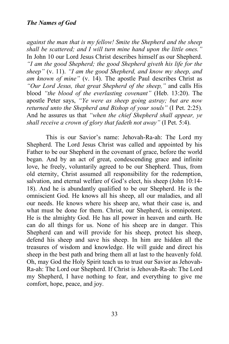*against the man that is my fellow! Smite the Shepherd and the sheep shall be scattered; and I will turn mine hand upon the little ones."*  In John 10 our Lord Jesus Christ describes himself as our Shepherd. *"I am the good Shepherd; the good Shepherd giveth his life for the sheep"* (v. 11). *"I am the good Shepherd, and know my sheep, and am known of mine"* (v. 14). The apostle Paul describes Christ as *"Our Lord Jesus, that great Shepherd of the sheep,"* and calls His blood *"the blood of the everlasting covenant"* (Heb. 13:20). The apostle Peter says, *"Ye were as sheep going astray; but are now returned unto the Shepherd and Bishop of your souls"* (I Pet. 2:25). And he assures us that *"when the chief Shepherd shall appear, ye shall receive a crown of glory that fadeth not away"* (I Pet. 5:4).

This is our Savior's name: Jehovah-Ra-ah: The Lord my Shepherd. The Lord Jesus Christ was called and appointed by his Father to be our Shepherd in the covenant of grace, before the world began. And by an act of great, condescending grace and infinite love, he freely, voluntarily agreed to be our Shepherd. Thus, from old eternity, Christ assumed all responsibility for the redemption, salvation, and eternal welfare of God's elect, his sheep (John 10:14- 18). And he is abundantly qualified to be our Shepherd. He is the omniscient God. He knows all his sheep, all our maladies, and all our needs. He knows where his sheep are, what their case is, and what must be done for them. Christ, our Shepherd, is omnipotent. He is the almighty God. He has all power in heaven and earth. He can do all things for us. None of his sheep are in danger. This Shepherd can and will provide for his sheep, protect his sheep, defend his sheep and save his sheep. In him are hidden all the treasures of wisdom and knowledge. He will guide and direct his sheep in the best path and bring them all at last to the heavenly fold. Oh, may God the Holy Spirit teach us to trust our Savior as Jehovah-Ra-ah: The Lord our Shepherd. If Christ is Jehovah-Ra-ah: The Lord my Shepherd, I have nothing to fear, and everything to give me comfort, hope, peace, and joy.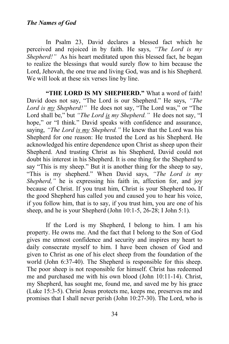In Psalm 23, David declares a blessed fact which he perceived and rejoiced in by faith. He says, *"The Lord is my Shepherd!"* As his heart meditated upon this blessed fact, he began to realize the blessings that would surely flow to him because the Lord, Jehovah, the one true and living God, was and is his Shepherd. We will look at these six verses line by line.

**"THE LORD IS MY SHEPHERD."** What a word of faith! David does not say, "The Lord is our Shepherd." He says, *"The Lord is my Shepherd!"* He does not say, "The Lord was," or "The Lord shall be," but "The Lord is my Shepherd." He does not say, "I hope," or "I think." David speaks with confidence and assurance, saying, *"The Lord is my Shepherd."* He knew that the Lord was his Shepherd for one reason: He trusted the Lord as his Shepherd. He acknowledged his entire dependence upon Christ as sheep upon their Shepherd. And trusting Christ as his Shepherd, David could not doubt his interest in his Shepherd. It is one thing for the Shepherd to say "This is my sheep." But it is another thing for the sheep to say, "This is my shepherd." When David says, *"The Lord is my Shepherd,*" he is expressing his faith in, affection for, and joy because of Christ. If you trust him, Christ is your Shepherd too**.** If the good Shepherd has called you and caused you to hear his voice, if you follow him, that is to say, if you trust him, you are one of his sheep, and he is your Shepherd (John 10:1-5, 26-28; I John 5:1).

If the Lord is my Shepherd, I belong to him. I am his property. He owns me. And the fact that I belong to the Son of God gives me utmost confidence and security and inspires my heart to daily consecrate myself to him. I have been chosen of God and given to Christ as one of his elect sheep from the foundation of the world (John 6:37-40). The Shepherd is responsible for this sheep. The poor sheep is not responsible for himself. Christ has redeemed me and purchased me with his own blood (John 10:11-14). Christ, my Shepherd, has sought me, found me, and saved me by his grace (Luke 15:3-5). Christ Jesus protects me, keeps me, preserves me and promises that I shall never perish (John 10:27-30). The Lord, who is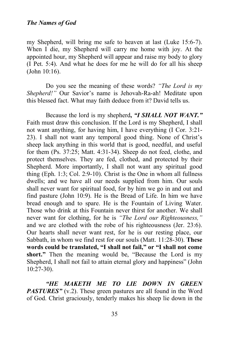my Shepherd, will bring me safe to heaven at last (Luke 15:6-7). When I die, my Shepherd will carry me home with joy. At the appointed hour, my Shepherd will appear and raise my body to glory (I Pet. 5:4). And what he does for me he will do for all his sheep (John 10:16).

Do you see the meaning of these words? *"The Lord is my Shepherd!"* Our Savior's name is Jehovah-Ra-ah! Meditate upon this blessed fact. What may faith deduce from it? David tells us.

Because the lord is my shepherd**,** *"I SHALL NOT WANT."*  Faith must draw this conclusion. If the Lord is my Shepherd, I shall not want anything, for having him, I have everything (I Cor. 3:21- 23). I shall not want any temporal good thing. None of Christ's sheep lack anything in this world that is good, needful, and useful for them (Ps. 37:25; Matt. 4:31-34). Sheep do not feed, clothe, and protect themselves. They are fed, clothed, and protected by their Shepherd. More importantly, I shall not want any spiritual good thing (Eph. 1:3; Col. 2:9-10). Christ is the One in whom all fullness dwells; and we have all our needs supplied from him. Our souls shall never want for spiritual food, for by him we go in and out and find pasture (John 10:9). He is the Bread of Life. In him we have bread enough and to spare. He is the Fountain of Living Water. Those who drink at this Fountain never thirst for another. We shall never want for clothing, for he is *"The Lord our Righteousness,"* and we are clothed with the robe of his righteousness (Jer. 23:6). Our hearts shall never want rest, for he is our resting place, our Sabbath, in whom we find rest for our souls (Matt. 11:28-30). **These words could be translated, "I shall not fail," or "I shall not come short."** Then the meaning would be, "Because the Lord is my Shepherd, I shall not fail to attain eternal glory and happiness" (John 10:27-30).

*"HE MAKETH ME TO LIE DOWN IN GREEN PASTURES"* (v.2). These green pastures are all found in the Word of God. Christ graciously, tenderly makes his sheep lie down in the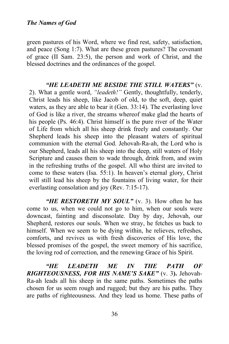green pastures of his Word, where we find rest, safety, satisfaction, and peace (Song 1:7). What are these green pastures? The covenant of grace (II Sam. 23:5), the person and work of Christ, and the blessed doctrines and the ordinances of the gospel.

*"HE LEADETH ME BESIDE THE STILL WATERS"* (v. 2). What a gentle word, *"leadeth!"* Gently, thoughtfully, tenderly, Christ leads his sheep, like Jacob of old, to the soft, deep, quiet waters, as they are able to bear it (Gen. 33:14). The everlasting love of God is like a river, the streams whereof make glad the hearts of his people (Ps. 46:4). Christ himself is the pure river of the Water of Life from which all his sheep drink freely and constantly. Our Shepherd leads his sheep into the pleasant waters of spiritual communion with the eternal God. Jehovah-Ra-ah, the Lord who is our Shepherd, leads all his sheep into the deep, still waters of Holy Scripture and causes them to wade through, drink from, and swim in the refreshing truths of the gospel. All who thirst are invited to come to these waters (Isa. 55:1). In heaven's eternal glory, Christ will still lead his sheep by the fountains of living water, for their everlasting consolation and joy (Rev. 7:15-17).

"HE RESTORETH MY SOUL" (v. 3). How often he has come to us, when we could not go to him, when our souls were downcast, fainting and disconsolate. Day by day, Jehovah, our Shepherd, restores our souls. When we stray, he fetches us back to himself. When we seem to be dying within, he relieves, refreshes, comforts, and revives us with fresh discoveries of His love, the blessed promises of the gospel, the sweet memory of his sacrifice, the loving rod of correction, and the renewing Grace of his Spirit.

*"HE LEADETH ME IN THE PATH OF RIGHTEOUSNESS, FOR HIS NAME'S SAKE"* (v. 3**).** Jehovah-Ra-ah leads all his sheep in the same paths. Sometimes the paths chosen for us seem rough and rugged; but they are his paths. They are paths of righteousness. And they lead us home. These paths of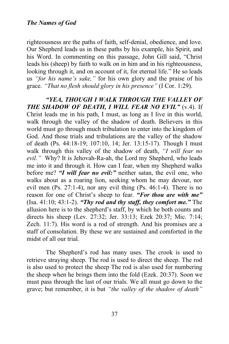righteousness are the paths of faith, self-denial, obedience, and love. Our Shepherd leads us in these paths by his example, his Spirit, and his Word. In commenting on this passage, John Gill said, "Christ leads his (sheep) by faith to walk on in him and in his righteousness, looking through it, and on account of it, for eternal life." He so leads us *"for his name's sake,"* for his own glory and the praise of his grace. *"That no flesh should glory in his presence"* (I Cor. 1:29).

*"YEA, THOUGH I WALK THROUGH THE VALLEY OF THE SHADOW OF DEATH, I WILL FEAR NO EVIL"* (v.4). If Christ leads me in his path, I must, as long as I live in this world, walk through the valley of the shadow of death. Believers in this world must go through much tribulation to enter into the kingdom of God. And those trials and tribulations are the valley of the shadow of death (Ps. 44:18-19; 107:10, 14; Jer. 13:15-17). Though I must walk through this valley of the shadow of death, *"I will fear no evil."* Why? It is Jehovah-Ra-ah, the Lord my Shepherd, who leads me into it and through it. How can I fear, when my Shepherd walks before me? *"I will fear no evil:"* neither satan, the evil one, who walks about as a roaring lion, seeking whom he may devour, nor evil men (Ps. 27:1-4), nor any evil thing (Ps. 46:1-4). There is no reason for one of Christ's sheep to fear. *"For thou are with me"* (Isa. 41:10; 43:1-2). *"Thy rod and thy staff, they comfort me."* The allusion here is to the shepherd's staff, by which he both counts and directs his sheep (Lev. 27:32; Jer. 33:13; Ezek 20:37; Mic. 7:14; Zech. 11:7). His word is a rod of strength. And his promises are a staff of consolation. By these we are sustained and comforted in the midst of all our trial.

The Shepherd's rod has many uses. The crook is used to retrieve straying sheep. The rod is used to direct the sheep. The rod is also used to protect the sheep The rod is also used for numbering the sheep when he brings them into the fold (Ezek. 20:37). Soon we must pass through the last of our trials. We all must go down to the grave; but remember, it is but *"the valley of the shadow of death"*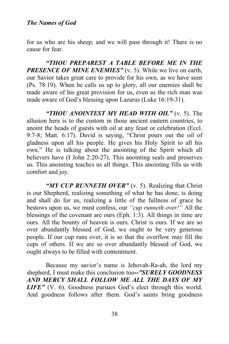for us who are his sheep; and we will pass through it! There is no cause for fear.

*"THOU PREPAREST A TABLE BEFORE ME IN THE PRESENCE OF MINE ENEMIES"* (v. 5). While we live on earth, our Savior takes great care to provide for his own, as we have seen (Ps. 78:19). When he calls us up to glory, all our enemies shall be made aware of his great provision for us, even as the rich man was made aware of God's blessing upon Lazarus (Luke 16:19-31).

*"THOU ANOINTEST MY HEAD WITH OIL"* (v. 5). The allusion here is to the custom in those ancient eastern countries, to anoint the heads of guests with oil at any feast or celebration (Eccl. 9:7-8; Matt. 6:17). David is saying, "Christ pours out the oil of gladness upon all his people. He gives his Holy Spirit to all his own." He is talking about the anointing of the Spirit which all believers have (I John 2:20-27). This anointing seals and preserves us. This anointing teaches us all things. This anointing fills us with comfort and joy.

*"MY CUP RUNNETH OVER"* (v. 5). Realizing that Christ is our Shepherd, realizing something of what he has done, is doing and shall do for us, realizing a little of the fullness of grace he bestows upon us, we must confess, our *"cup runneth over!"* All the blessings of the covenant are ours (Eph. 1:3). All things in time are ours. All the bounty of heaven is ours. Christ is ours. If we are so over abundantly blessed of God, we ought to be very generous people. If our cup runs over, it is so that the overflow may fill the cups of others. If we are so over abundantly blessed of God, we ought always to be filled with contentment.

Because my savior's name is Jehovah-Ra-ah, the lord my shepherd, I must make this conclusion too**--***"SURELY GOODNESS AND MERCY SHALL FOLLOW ME ALL THE DAYS OF MY LIFE"* (V. 6). Goodness pursues God's elect through this world. And goodness follows after them. God's saints bring goodness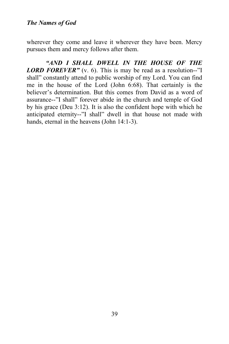wherever they come and leave it wherever they have been. Mercy pursues them and mercy follows after them.

*"AND I SHALL DWELL IN THE HOUSE OF THE LORD FOREVER"* (v. 6). This is may be read as a resolution--"I shall" constantly attend to public worship of my Lord. You can find me in the house of the Lord (John 6:68). That certainly is the believer's determination. But this comes from David as a word of assurance--"I shall" forever abide in the church and temple of God by his grace (Deu 3:12). It is also the confident hope with which he anticipated eternity--"I shall" dwell in that house not made with hands, eternal in the heavens (John 14:1-3).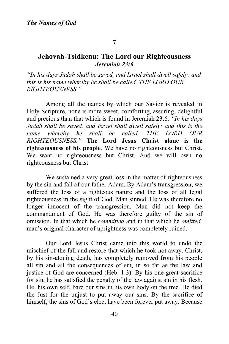#### **7**

# **Jehovah-Tsidkenu: The Lord our Righteousness** *Jeremiah 23:6*

*"In his days Judah shall be saved, and Israel shall dwell safely: and this is his name whereby he shall be called, THE LORD OUR RIGHTEOUSNESS."* 

Among all the names by which our Savior is revealed in Holy Scripture, none is more sweet, comforting, assuring, delightful and precious than that which is found in Jeremiah 23:6. *"In his days Judah shall be saved, and Israel shall dwell safely: and this is the name whereby he shall be called, THE LORD OUR RIGHTEOUSNESS."* **The Lord Jesus Christ alone is the righteousness of his people**. We have no righteousness but Christ. We want no righteousness but Christ. And we will own no righteousness but Christ.

We sustained a very great loss in the matter of righteousness by the sin and fall of our father Adam. By Adam's transgression, we suffered the loss of a righteous nature and the loss of all legal righteousness in the sight of God. Man sinned. He was therefore no longer innocent of the transgression. Man did not keep the commandment of God. He was therefore guilty of the sin of omission. In that which he *committed* and in that which he *omitted,* man's original character of uprightness was completely ruined.

Our Lord Jesus Christ came into this world to undo the mischief of the fall and restore that which he took not away. Christ, by his sin-atoning death, has completely removed from his people all sin and all the consequences of sin, in so far as the law and justice of God are concerned (Heb. 1:3). By his one great sacrifice for sin, he has satisfied the penalty of the law against sin in his flesh. He, his own self, bare our sins in his own body on the tree. He died the Just for the unjust to put away our sins. By the sacrifice of himself, the sins of God's elect have been forever put away. Because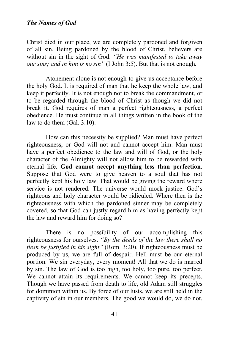Christ died in our place, we are completely pardoned and forgiven of all sin. Being pardoned by the blood of Christ, believers are without sin in the sight of God. *"He was manifested to take away our sins; and in him is no sin"* (I John 3:5). But that is not enough.

Atonement alone is not enough to give us acceptance before the holy God. It is required of man that he keep the whole law, and keep it perfectly. It is not enough not to break the commandment, or to be regarded through the blood of Christ as though we did not break it. God requires of man a perfect righteousness, a perfect obedience. He must continue in all things written in the book of the law to do them (Gal. 3:10).

How can this necessity be supplied? Man must have perfect righteousness, or God will not and cannot accept him. Man must have a perfect obedience to the law and will of God, or the holy character of the Almighty will not allow him to be rewarded with eternal life. **God cannot accept anything less than perfection**. Suppose that God were to give heaven to a soul that has not perfectly kept his holy law. That would be giving the reward where service is not rendered. The universe would mock justice. God's righteous and holy character would be ridiculed. Where then is the righteousness with which the pardoned sinner may be completely covered, so that God can justly regard him as having perfectly kept the law and reward him for doing so?

There is no possibility of our accomplishing this righteousness for ourselves. *"By the deeds of the law there shall no flesh be justified in his sight"* (Rom. 3:20). If righteousness must be produced by us, we are full of despair. Hell must be our eternal portion. We sin everyday, every moment! All that we do is marred by sin. The law of God is too high, too holy, too pure, too perfect. We cannot attain its requirements. We cannot keep its precepts. Though we have passed from death to life, old Adam still struggles for dominion within us. By force of our lusts, we are still held in the captivity of sin in our members. The good we would do, we do not.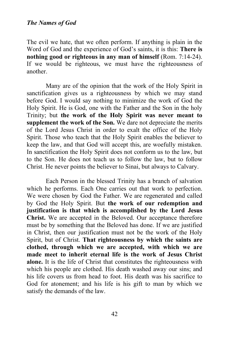The evil we hate, that we often perform. If anything is plain in the Word of God and the experience of God's saints, it is this: **There is nothing good or righteous in any man of himself** (Rom. 7:14-24). If we would be righteous, we must have the righteousness of another.

Many are of the opinion that the work of the Holy Spirit in sanctification gives us a righteousness by which we may stand before God. I would say nothing to minimize the work of God the Holy Spirit. He is God, one with the Father and the Son in the holy Trinity; but **the work of the Holy Spirit was never meant to supplement the work of the Son.** We dare not depreciate the merits of the Lord Jesus Christ in order to exalt the office of the Holy Spirit. Those who teach that the Holy Spirit enables the believer to keep the law, and that God will accept this, are woefully mistaken. In sanctification the Holy Spirit does not conform us to the law, but to the Son. He does not teach us to follow the law, but to follow Christ. He never points the believer to Sinai, but always to Calvary.

Each Person in the blessed Trinity has a branch of salvation which he performs. Each One carries out that work to perfection. We were chosen by God the Father. We are regenerated and called by God the Holy Spirit. But **the work of our redemption and justification is that which is accomplished by the Lord Jesus Christ.** We are accepted in the Beloved. Our acceptance therefore must be by something that the Beloved has done. If we are justified in Christ, then our justification must not be the work of the Holy Spirit, but of Christ. **That righteousness by which the saints are clothed, through which we are accepted, with which we are made meet to inherit eternal life is the work of Jesus Christ alone.** It is the life of Christ that constitutes the righteousness with which his people are clothed. His death washed away our sins; and his life covers us from head to foot. His death was his sacrifice to God for atonement; and his life is his gift to man by which we satisfy the demands of the law.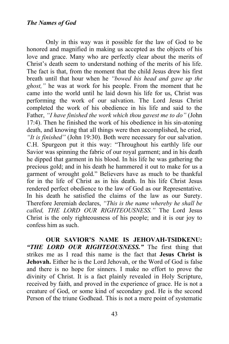Only in this way was it possible for the law of God to be honored and magnified in making us accepted as the objects of his love and grace. Many who are perfectly clear about the merits of Christ's death seem to understand nothing of the merits of his life. The fact is that, from the moment that the child Jesus drew his first breath until that hour when he *"bowed his head and gave up the ghost,"* he was at work for his people. From the moment that he came into the world until he laid down his life for us, Christ was performing the work of our salvation. The Lord Jesus Christ completed the work of his obedience in his life and said to the Father, *"I have finished the work which thou gavest me to do"* (John 17:4). Then he finished the work of his obedience in his sin-atoning death, and knowing that all things were then accomplished, he cried, *"It is finished"* (John 19:30). Both were necessary for our salvation. C.H. Spurgeon put it this way: "Throughout his earthly life our Savior was spinning the fabric of our royal garment; and in his death he dipped that garment in his blood. In his life he was gathering the precious gold; and in his death he hammered it out to make for us a garment of wrought gold." Believers have as much to be thankful for in the life of Christ as in his death. In his life Christ Jesus rendered perfect obedience to the law of God as our Representative. In his death he satisfied the claims of the law as our Surety. Therefore Jeremiah declares, *"This is the name whereby he shall be called, THE LORD OUR RIGHTEOUSNESS."* The Lord Jesus Christ is the only righteousness of his people; and it is our joy to confess him as such.

**OUR SAVIOR'S NAME IS JEHOVAH-TSIDKENU:**  *"THE LORD OUR RIGHTEOUSNESS."* The first thing that strikes me as I read this name is the fact that **Jesus Christ is Jehovah.** Either he is the Lord Jehovah, or the Word of God is false and there is no hope for sinners. I make no effort to prove the divinity of Christ. It is a fact plainly revealed in Holy Scripture, received by faith, and proved in the experience of grace. He is not a creature of God, or some kind of secondary god. He is the second Person of the triune Godhead. This is not a mere point of systematic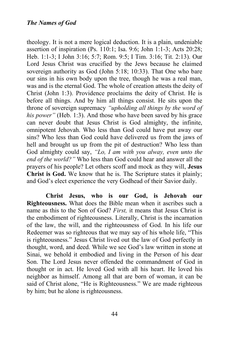theology. It is not a mere logical deduction. It is a plain, undeniable assertion of inspiration (Ps. 110:1; Isa. 9:6; John 1:1-3; Acts 20:28; Heb. 1:1-3; I John 3:16; 5:7; Rom. 9:5; I Tim. 3:16; Tit. 2:13). Our Lord Jesus Christ was crucified by the Jews because he claimed sovereign authority as God (John 5:18; 10:33). That One who bare our sins in his own body upon the tree, though he was a real man, was and is the eternal God. The whole of creation attests the deity of Christ (John 1:3). Providence proclaims the deity of Christ. He is before all things. And by him all things consist. He sits upon the throne of sovereign supremacy *"upholding all things by the word of his power"* (Heb. 1:3). And those who have been saved by his grace can never doubt that Jesus Christ is God almighty, the infinite, omnipotent Jehovah. Who less than God could have put away our sins? Who less than God could have delivered us from the jaws of hell and brought us up from the pit of destruction? Who less than God almighty could say, *"Lo, I am with you alway, even unto the end of the world?"* Who less than God could hear and answer all the prayers of his people? Let others scoff and mock as they will, **Jesus Christ is God.** We know that he is. The Scripture states it plainly; and God's elect experience the very Godhead of their Savior daily.

**Christ Jesus, who is our God, is Jehovah our Righteousness.** What does the Bible mean when it ascribes such a name as this to the Son of God? *First,* it means that Jesus Christ is the embodiment of righteousness. Literally, Christ is the incarnation of the law, the will, and the righteousness of God. In his life our Redeemer was so righteous that we may say of his whole life, "This is righteousness." Jesus Christ lived out the law of God perfectly in thought, word, and deed. While we see God's law written in stone at Sinai, we behold it embodied and living in the Person of his dear Son. The Lord Jesus never offended the commandment of God in thought or in act. He loved God with all his heart. He loved his neighbor as himself. Among all that are born of woman, it can be said of Christ alone, "He is Righteousness." We are made righteous by him; but he alone is righteousness.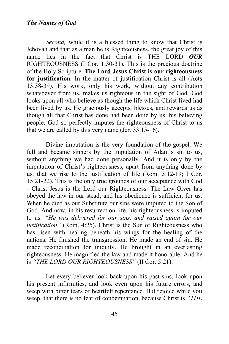*Second*, while it is a blessed thing to know that Christ is Jehovah and that as a man he is Righteousness, the great joy of this name lies in the fact that Christ is THE LORD *OUR* RIGHTEOUSNESS (I Cor. 1:30-31). This is the precious doctrine of the Holy Scripture. **The Lord Jesus Christ is our righteousness for justification.** In the matter of justification Christ is all (Acts 13:38-39). His work, only his work, without any contribution whatsoever from us, makes us righteous in the sight of God. God looks upon all who believe as though the life which Christ lived had been lived by us. He graciously accepts, blesses, and rewards us as though all that Christ has done had been done by us, his believing people. God so perfectly imputes the righteousness of Christ to us that we are called by this very name (Jer. 33:15-16).

Divine imputation is the very foundation of the gospel. We fell and became sinners by the imputation of Adam's sin to us, without anything we had done personally. And it is only by the imputation of Christ's righteousness, apart from anything done by us, that we rise to the justification of life (Rom. 5:12-19; I Cor. 15:21-22). This is the only true grounds of our acceptance with God - Christ Jesus is the Lord our Righteousness. The Law-Giver has obeyed the law in our stead; and his obedience is sufficient for us. When he died as our Substitute our sins were imputed to the Son of God. And now, in his resurrection life, his righteousness is imputed to us. *"He was delivered for our sins, and raised again for our justification"* (Rom. 4:25). Christ is the Sun of Righteousness who has risen with healing beneath his wings for the healing of the nations. He finished the transgression. He made an end of sin. He made reconciliation for iniquity. He brought in an everlasting righteousness. He magnified the law and made it honorable. And he is *"THE LORD OUR RIGHTEOUSNESS"* (II Cor. 5:21).

Let every believer look back upon his past sins, look upon his present infirmities, and look even upon his future errors, and weep with bitter tears of heartfelt repentance. But rejoice while you weep, that there is no fear of condemnation, because Christ is *"THE*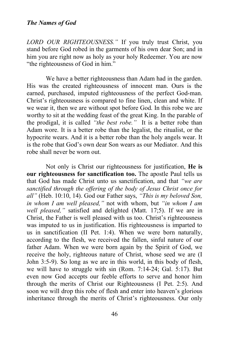*LORD OUR RIGHTEOUSNESS."* If you truly trust Christ, you stand before God robed in the garments of his own dear Son; and in him you are right now as holy as your holy Redeemer. You are now "the righteousness of God in him."

We have a better righteousness than Adam had in the garden. His was the created righteousness of innocent man. Ours is the earned, purchased, imputed righteousness of the perfect God-man. Christ's righteousness is compared to fine linen, clean and white. If we wear it, then we are without spot before God. In this robe we are worthy to sit at the wedding feast of the great King. In the parable of the prodigal, it is called *"the best robe."* It is a better robe than Adam wore. It is a better robe than the legalist, the ritualist, or the hypocrite wears. And it is a better robe than the holy angels wear. It is the robe that God's own dear Son wears as our Mediator. And this robe shall never be worn out.

Not only is Christ our righteousness for justification, **He is our righteousness for sanctification too.** The apostle Paul tells us that God has made Christ unto us sanctification, and that *"we are sanctified through the offering of the body of Jesus Christ once for all"* (Heb. 10:10, 14). God our Father says, *"This is my beloved Son, in whom I am well pleased,"* not with whom, but *"in whom I am well pleased,"* satisfied and delighted (Matt. 17;5). If we are in Christ, the Father is well pleased with us too. Christ's righteousness was imputed to us in justification. His righteousness is imparted to us in sanctification (II Pet. 1:4). When we were born naturally, according to the flesh, we received the fallen, sinful nature of our father Adam. When we were born again by the Spirit of God, we receive the holy, righteous nature of Christ, whose seed we are (I John 3:5-9). So long as we are in this world, in this body of flesh, we will have to struggle with sin (Rom. 7:14-24; Gal. 5:17). But even now God accepts our feeble efforts to serve and honor him through the merits of Christ our Righteousness (I Pet. 2:5). And soon we will drop this robe of flesh and enter into heaven's glorious inheritance through the merits of Christ's righteousness. Our only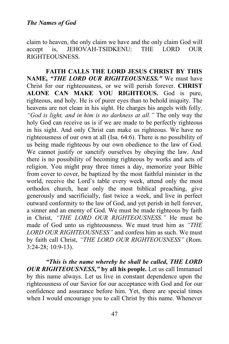claim to heaven, the only claim we have and the only claim God will accept is, JEHOVAH-TSIDKENU: THE LORD OUR RIGHTEOUSNESS.

**FAITH CALLS THE LORD JESUS CHRIST BY THIS NAME,** *"THE LORD OUR RIGHTEOUSNESS."* We must have Christ for our righteousness, or we will perish forever. **CHRIST ALONE CAN MAKE YOU RIGHTEOUS.** God is pure, righteous, and holy. He is of purer eyes than to behold iniquity. The heavens are not clean in his sight. He charges his angels with folly. *"God is light, and in him is no darkness at all."* The only way the holy God can receive us is if we are made to be perfectly righteous in his sight. And only Christ can make us righteous. We have no righteousness of our own at all (Isa. 64:6). There is no possibility of us being made righteous by our own obedience to the law of God. We cannot justify or sanctify ourselves by obeying the law. And there is no possibility of becoming righteous by works and acts of religion. You might pray three times a day, memorize your Bible from cover to cover, be baptized by the most faithful minister in the world, receive the Lord's table every week, attend only the most orthodox church, hear only the most biblical preaching, give generously and sacrificially, fast twice a week, and live in perfect outward conformity to the law of God, and yet perish in hell forever, a sinner and an enemy of God. We must be made righteous by faith in Christ, *"THE LORD OUR RIGHTEOUSNESS."* He must be made of God unto us righteousness. We must trust him as *"THE LORD OUR RIGHTEOUSNESS"* and confess him as such. We must by faith call Christ, *"THE LORD OUR RIGHTEOUSNESS"* (Rom. 3:24-28; 10:9-13).

*"This is the name whereby he shall be called, THE LORD OUR RIGHTEOUSNESS,"* **by all his people.** Let us call Immanuel by this name always. Let us live in constant dependence upon the righteousness of our Savior for our acceptance with God and for our confidence and assurance before him. Yet, there are special times when I would encourage you to call Christ by this name. Whenever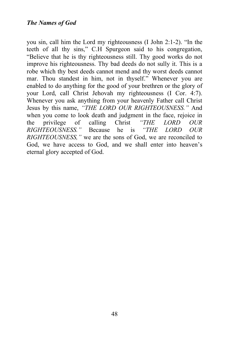you sin, call him the Lord my righteousness (I John 2:1-2). "In the teeth of all thy sins," C.H Spurgeon said to his congregation, "Believe that he is thy righteousness still. Thy good works do not improve his righteousness. Thy bad deeds do not sully it. This is a robe which thy best deeds cannot mend and thy worst deeds cannot mar. Thou standest in him, not in thyself." Whenever you are enabled to do anything for the good of your brethren or the glory of your Lord, call Christ Jehovah my righteousness (I Cor. 4:7). Whenever you ask anything from your heavenly Father call Christ Jesus by this name, *"THE LORD OUR RIGHTEOUSNESS."* And when you come to look death and judgment in the face, rejoice in the privilege of calling Christ *"THE LORD OUR RIGHTEOUSNESS."* Because he is *"THE LORD OUR RIGHTEOUSNESS,"* we are the sons of God, we are reconciled to God, we have access to God, and we shall enter into heaven's eternal glory accepted of God.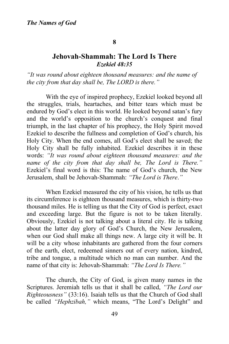#### **8**

# **Jehovah-Shammah: The Lord Is There** *Ezekiel 48:35*

*"It was round about eighteen thousand measures: and the name of the city from that day shall be, The LORD is there."*

With the eye of inspired prophecy, Ezekiel looked beyond all the struggles, trials, heartaches, and bitter tears which must be endured by God's elect in this world. He looked beyond satan's fury and the world's opposition to the church's conquest and final triumph, in the last chapter of his prophecy, the Holy Spirit moved Ezekiel to describe the fullness and completion of God's church, his Holy City. When the end comes, all God's elect shall be saved; the Holy City shall be fully inhabited. Ezekiel describes it in these words: *"It was round about eighteen thousand measures: and the name of the city from that day shall be, The Lord is There."*  Ezekiel's final word is this: The name of God's church, the New Jerusalem, shall be Jehovah-Shammah: *"The Lord is There*.*"*

When Ezekiel measured the city of his vision, he tells us that its circumference is eighteen thousand measures, which is thirty-two thousand miles. He is telling us that the City of God is perfect, exact and exceeding large. But the figure is not to be taken literally. Obviously, Ezekiel is not talking about a literal city. He is talking about the latter day glory of God's Church, the New Jerusalem, when our God shall make all things new. A large city it will be. It will be a city whose inhabitants are gathered from the four corners of the earth, elect, redeemed sinners out of every nation, kindred, tribe and tongue, a multitude which no man can number. And the name of that city is: Jehovah-Shammah: *"The Lord Is There."*

The church, the City of God, is given many names in the Scriptures. Jeremiah tells us that it shall be called, *"The Lord our Righteousness"* (33:16). Isaiah tells us that the Church of God shall be called *"Hephzibah,"* which means, "The Lord's Delight" and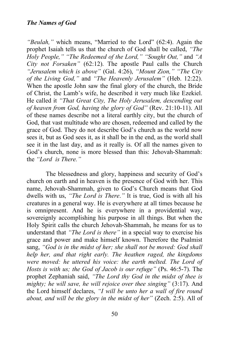*"Beulah,"* which means, "Married to the Lord" (62:4). Again the prophet Isaiah tells us that the church of God shall be called, *"The Holy People," "The Redeemed of the Lord," "Sought Out,"* and *"A City not Forsaken"* (62:12). The apostle Paul calls the Church *"Jerusalem which is above"* (Gal. 4:26), *"Mount Zion," "The City of the Living God,"* and *"The Heavenly Jerusalem"* (Heb. 12:22). When the apostle John saw the final glory of the church, the Bride of Christ, the Lamb's wife, he described it very much like Ezekiel. He called it *"That Great City, The Holy Jerusalem, descending out of heaven from God, having the glory of God"* (Rev. 21:10-11). All of these names describe not a literal earthly city, but the church of God, that vast multitude who are chosen, redeemed and called by the grace of God. They do not describe God's church as the world now sees it, but as God sees it, as it shall be in the end, as the world shall see it in the last day, and as it really is. Of all the names given to God's church, none is more blessed than this: Jehovah-Shammah: the *"Lord is There."*

The blessedness and glory, happiness and security of God's church on earth and in heaven is the presence of God with her. This name, Jehovah-Shammah, given to God's Church means that God dwells with us, *"The Lord is There*.*"* It is true, God is with all his creatures in a general way. He is everywhere at all times because he is omnipresent. And he is everywhere in a providential way, sovereignly accomplishing his purpose in all things. But when the Holy Spirit calls the church Jehovah-Shammah, he means for us to understand that *"The Lord is there"* in a special way to exercise his grace and power and make himself known. Therefore the Psalmist sang, *"God is in the midst of her; she shall not be moved: God shall help her, and that right early. The heathen raged, the kingdoms were moved: he uttered his voice: the earth melted. The Lord of Hosts is with us; the God of Jacob is our refuge"* (Ps. 46:5-7). The prophet Zephaniah said, *"The Lord thy God in the midst of thee is mighty; he will save, he will rejoice over thee singing"* (3:17). And the Lord himself declares, *"I will be unto her a wall of fire round about, and will be the glory in the midst of her"* (Zech. 2:5). All of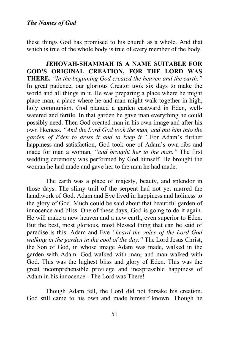these things God has promised to his church as a whole. And that which is true of the whole body is true of every member of the body.

**JEHOVAH-SHAMMAH IS A NAME SUITABLE FOR GOD'S ORIGINAL CREATION, FOR THE LORD WAS THERE.** *"In the beginning God created the heaven and the earth."*  In great patience, our glorious Creator took six days to make the world and all things in it. He was preparing a place where he might place man, a place where he and man might walk together in high, holy communion. God planted a garden eastward in Eden, wellwatered and fertile. In that garden he gave man everything he could possibly need. Then God created man in his own image and after his own likeness. *"And the Lord God took the man, and put him into the garden of Eden to dress it and to keep it."* For Adam's further happiness and satisfaction, God took one of Adam's own ribs and made for man a woman, *"and brought her to the man."* The first wedding ceremony was performed by God himself. He brought the woman he had made and gave her to the man he had made.

The earth was a place of majesty, beauty, and splendor in those days. The slimy trail of the serpent had not yet marred the handiwork of God. Adam and Eve lived in happiness and holiness to the glory of God. Much could be said about that beautiful garden of innocence and bliss. One of these days, God is going to do it again. He will make a new heaven and a new earth, even superior to Eden. But the best, most glorious, most blessed thing that can be said of paradise is this: Adam and Eve *"heard the voice of the Lord God walking in the garden in the cool of the day."* The Lord Jesus Christ, the Son of God, in whose image Adam was made, walked in the garden with Adam. God walked with man; and man walked with God. This was the highest bliss and glory of Eden. This was the great incomprehensible privilege and inexpressible happiness of Adam in his innocence - The Lord was There!

Though Adam fell, the Lord did not forsake his creation. God still came to his own and made himself known. Though he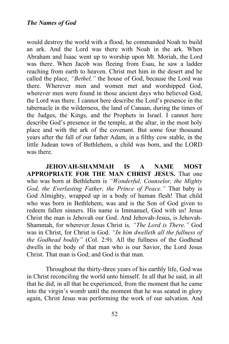would destroy the world with a flood, he commanded Noah to build an ark. And the Lord was there with Noah in the ark. When Abraham and Isaac went up to worship upon Mt. Moriah, the Lord was there. When Jacob was fleeing from Esau, he saw a ladder reaching from earth to heaven. Christ met him in the desert and he called the place, *"Bethel,"* the house of God, because the Lord was there. Wherever men and women met and worshipped God, wherever men were found in those ancient days who believed God, the Lord was there. I cannot here describe the Lord's presence in the tabernacle in the wilderness, the land of Canaan, during the times of the Judges, the Kings, and the Prophets in Israel. I cannot here describe God's presence in the temple, at the altar, in the most holy place and with the ark of the covenant. But some four thousand years after the fall of our father Adam, in a filthy cow stable, in the little Judean town of Bethlehem, a child was born, and the LORD was there.

**JEHOVAH-SHAMMAH IS A NAME MOST APPROPRIATE FOR THE MAN CHRIST JESUS.** That one who was born at Bethlehem is *"Wonderful, Counselor, the Mighty God, the Everlasting Father, the Prince of Peace."* That baby is God Almighty, wrapped up in a body of human flesh! That child who was born in Bethlehem, was and is the Son of God given to redeem fallen sinners. His name is Immanuel, God with us! Jesus Christ the man is Jehovah our God. And Jehovah-Jesus, is Jehovah-Shammah, for wherever Jesus Christ is*, "The Lord is There."* God was in Christ, for Christ is God. *"In him dwelleth all the fullness of the Godhead bodily"* (Col. 2:9). All the fullness of the Godhead dwells in the body of that man who is our Savior, the Lord Jesus Christ. That man is God; and God is that man.

Throughout the thirty-three years of his earthly life, God was in Christ reconciling the world unto himself. In all that he said, in all that he did, in all that he experienced, from the moment that he came into the virgin's womb until the moment that he was seated in glory again, Christ Jesus was performing the work of our salvation. And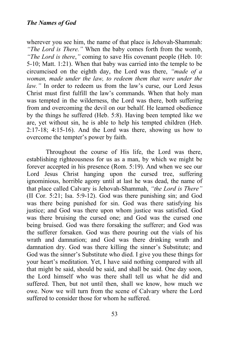wherever you see him, the name of that place is Jehovah-Shammah: *"The Lord is There."* When the baby comes forth from the womb, *"The Lord is there*,*"* coming to save His covenant people (Heb. 10: 5-10; Matt. 1:21). When that baby was carried into the temple to be circumcised on the eighth day, the Lord was there, *"made of a woman, made under the law, to redeem them that were under the law."* In order to redeem us from the law's curse, our Lord Jesus Christ must first fulfill the law's commands. When that holy man was tempted in the wilderness, the Lord was there, both suffering from and overcoming the devil on our behalf. He learned obedience by the things he suffered (Heb. 5:8). Having been tempted like we are, yet without sin, he is able to help his tempted children (Heb. 2:17-18; 4:15-16). And the Lord was there, showing us how to overcome the tempter's power by faith.

Throughout the course of His life, the Lord was there, establishing righteousness for us as a man, by which we might be forever accepted in his presence (Rom. 5:19). And when we see our Lord Jesus Christ hanging upon the cursed tree, suffering ignominious, horrible agony until at last he was dead, the name of that place called Calvary is Jehovah-Shammah, *"the Lord is There"* (II Cor. 5:21; Isa. 5:9-12). God was there punishing sin; and God was there being punished for sin. God was there satisfying his justice; and God was there upon whom justice was satisfied. God was there bruising the cursed one; and God was the cursed one being bruised. God was there forsaking the sufferer; and God was the sufferer forsaken. God was there pouring out the vials of his wrath and damnation; and God was there drinking wrath and damnation dry. God was there killing the sinner's Substitute; and God was the sinner's Substitute who died. I give you these things for your heart's meditation. Yet, I have said nothing compared with all that might be said, should be said, and shall be said. One day soon, the Lord himself who was there shall tell us what he did and suffered. Then, but not until then, shall we know, how much we owe. Now we will turn from the scene of Calvary where the Lord suffered to consider those for whom he suffered.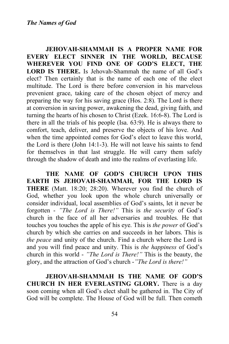**JEHOVAH-SHAMMAH IS A PROPER NAME FOR EVERY ELECT SINNER IN THE WORLD, BECAUSE WHEREVER YOU FIND ONE OF GOD'S ELECT, THE LORD IS THERE.** Is Jehovah-Shammah the name of all God's elect? Then certainly that is the name of each one of the elect multitude. The Lord is there before conversion in his marvelous prevenient grace, taking care of the chosen object of mercy and preparing the way for his saving grace (Hos. 2:8). The Lord is there at conversion in saving power, awakening the dead, giving faith, and turning the hearts of his chosen to Christ (Ezek. 16:6-8). The Lord is there in all the trials of his people (Isa. 63:9). He is always there to comfort, teach, deliver, and preserve the objects of his love. And when the time appointed comes for God's elect to leave this world, the Lord is there (John 14:1-3). He will not leave his saints to fend for themselves in that last struggle. He will carry them safely through the shadow of death and into the realms of everlasting life.

**THE NAME OF GOD'S CHURCH UPON THIS EARTH IS JEHOVAH-SHAMMAH, FOR THE LORD IS THERE** (Matt. 18:20; 28:20). Wherever you find the church of God, whether you look upon the whole church universally or consider individual, local assemblies of God's saints, let it never be forgotten - *"The Lord is There!"* This is *the security* of God's church in the face of all her adversaries and troubles. He that touches you touches the apple of his eye. This is *the power* of God's church by which she carries on and succeeds in her labors. This is *the peace* and unity of the church. Find a church where the Lord is and you will find peace and unity. This is *the happiness* of God's church in this world - *"The Lord is There!"* This is the beauty, the glory, and the attraction of God's church -*"The Lord is there!"*

**JEHOVAH-SHAMMAH IS THE NAME OF GOD'S CHURCH IN HER EVERLASTING GLORY.** There is a day soon coming when all God's elect shall be gathered in. The City of God will be complete. The House of God will be full. Then cometh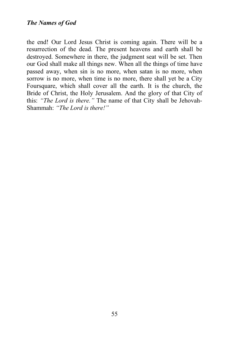the end! Our Lord Jesus Christ is coming again. There will be a resurrection of the dead. The present heavens and earth shall be destroyed. Somewhere in there, the judgment seat will be set. Then our God shall make all things new. When all the things of time have passed away, when sin is no more, when satan is no more, when sorrow is no more, when time is no more, there shall yet be a City Foursquare, which shall cover all the earth. It is the church, the Bride of Christ, the Holy Jerusalem. And the glory of that City of this: *"The Lord is there."* The name of that City shall be Jehovah-Shammah: *"The Lord is there!"*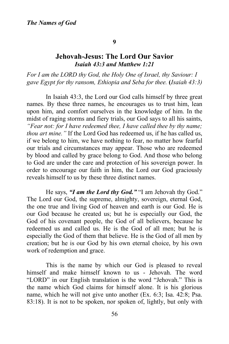#### **9**

## **Jehovah-Jesus: The Lord Our Savior** *Isaiah 43:3 and Matthew 1:21*

*For I am the LORD thy God, the Holy One of Israel, thy Saviour: I gave Egypt for thy ransom, Ethiopia and Seba for thee.* **(***Isaiah 43:3)*

In Isaiah 43:3, the Lord our God calls himself by three great names. By these three names, he encourages us to trust him, lean upon him, and comfort ourselves in the knowledge of him. In the midst of raging storms and fiery trials, our God says to all his saints, *"Fear not: for I have redeemed thee, I have called thee by thy name; thou art mine."* If the Lord God has redeemed us, if he has called us, if we belong to him, we have nothing to fear, no matter how fearful our trials and circumstances may appear. Those who are redeemed by blood and called by grace belong to God. And those who belong to God are under the care and protection of his sovereign power. In order to encourage our faith in him, the Lord our God graciously reveals himself to us by these three distinct names.

He says, *"I am the Lord thy God."* "I am Jehovah thy God." The Lord our God, the supreme, almighty, sovereign, eternal God, the one true and living God of heaven and earth is our God. He is our God because he created us; but he is especially our God, the God of his covenant people, the God of all believers, because he redeemed us and called us. He is the God of all men; but he is especially the God of them that believe. He is the God of all men by creation; but he is our God by his own eternal choice, by his own work of redemption and grace.

This is the name by which our God is pleased to reveal himself and make himself known to us - Jehovah. The word "LORD" in our English translation is the word "Jehovah." This is the name which God claims for himself alone. It is his glorious name, which he will not give unto another (Ex. 6:3; Isa. 42:8; Psa. 83:18). It is not to be spoken, nor spoken of, lightly, but only with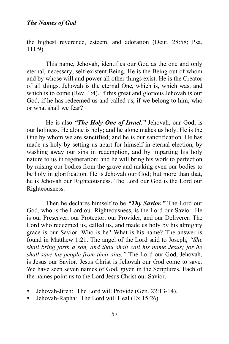the highest reverence, esteem, and adoration (Deut. 28:58; Psa. 111:9).

This name, Jehovah, identifies our God as the one and only eternal, necessary, self-existent Being. He is the Being out of whom and by whose will and power all other things exist. He is the Creator of all things. Jehovah is the eternal One, which is, which was, and which is to come (Rev. 1:4). If this great and glorious Jehovah is our God, if he has redeemed us and called us, if we belong to him, who or what shall we fear?

He is also *"The Holy One of Israel."* Jehovah, our God, is our holiness. He alone is holy; and he alone makes us holy. He is the One by whom we are sanctified; and he is our sanctification. He has made us holy by setting us apart for himself in eternal election, by washing away our sins in redemption, and by imparting his holy nature to us in regeneration; and he will bring his work to perfection by raising our bodies from the grave and making even our bodies to be holy in glorification. He is Jehovah our God; but more than that, he is Jehovah our Righteousness. The Lord our God is the Lord our Righteousness.

Then he declares himself to be *"Thy Savior."* The Lord our God, who is the Lord our Righteousness, is the Lord our Savior. He is our Preserver, our Protector, our Provider, and our Deliverer. The Lord who redeemed us, called us, and made us holy by his almighty grace is our Savior. Who is he? What is his name? The answer is found in Matthew 1:21. The angel of the Lord said to Joseph, *"She shall bring forth a son, and thou shalt call his name Jesus; for he shall save his people from their sins."* The Lord our God, Jehovah, is Jesus our Savior. Jesus Christ is Jehovah our God come to save. We have seen seven names of God, given in the Scriptures. Each of the names point us to the Lord Jesus Christ our Savior.

- Jehovah-Jireh: The Lord will Provide (Gen. 22:13-14).
- Jehovah-Rapha: The Lord will Heal (Ex 15:26).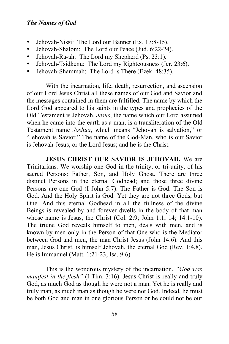- Jehovah-Nissi: The Lord our Banner (Ex. 17:8-15).
- Jehovah-Shalom: The Lord our Peace (Jud. 6:22-24).
- Jehovah-Ra-ah: The Lord my Shepherd (Ps. 23:1).
- Jehovah-Tsidkenu: The Lord my Righteousness (Jer. 23:6).
- Jehovah-Shammah: The Lord is There (Ezek. 48:35).

With the incarnation, life, death, resurrection, and ascension of our Lord Jesus Christ all these names of our God and Savior and the messages contained in them are fulfilled. The name by which the Lord God appeared to his saints in the types and prophecies of the Old Testament is Jehovah. *Jesus*, the name which our Lord assumed when he came into the earth as a man, is a transliteration of the Old Testament name *Joshua*, which means "Jehovah is salvation," or "Jehovah is Savior." The name of the God-Man, who is our Savior is Jehovah-Jesus, or the Lord Jesus; and he is the Christ.

**JESUS CHRIST OUR SAVIOR IS JEHOVAH.** We are Trinitarians. We worship one God in the trinity, or tri-unity, of his sacred Persons: Father, Son, and Holy Ghost. There are three distinct Persons in the eternal Godhead; and those three divine Persons are one God (I John 5:7). The Father is God. The Son is God. And the Holy Spirit is God. Yet they are not three Gods, but One. And this eternal Godhead in all the fullness of the divine Beings is revealed by and forever dwells in the body of that man whose name is Jesus, the Christ (Col. 2:9; John 1:1, 14; 14:1-10). The triune God reveals himself to men, deals with men, and is known by men only in the Person of that One who is the Mediator between God and men, the man Christ Jesus (John 14:6). And this man, Jesus Christ, is himself Jehovah, the eternal God (Rev. 1:4,8). He is Immanuel (Matt. 1:21-23; Isa. 9:6).

This is the wondrous mystery of the incarnation. *"God was manifest in the flesh"* (I Tim. 3:16). Jesus Christ is really and truly God, as much God as though he were not a man. Yet he is really and truly man, as much man as though he were not God. Indeed, he must be both God and man in one glorious Person or he could not be our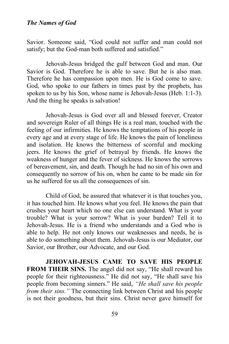Savior. Someone said, "God could not suffer and man could not satisfy; but the God-man both suffered and satisfied."

Jehovah-Jesus bridged the gulf between God and man. Our Savior is God. Therefore he is able to save. But he is also man. Therefore he has compassion upon men. He is God come to save. God, who spoke to our fathers in times past by the prophets, has spoken to us by his Son, whose name is Jehovah-Jesus (Heb. 1:1-3). And the thing he speaks is salvation!

Jehovah-Jesus is God over all and blessed forever, Creator and sovereign Ruler of all things He is a real man, touched with the feeling of our infirmities. He knows the temptations of his people in every age and at every stage of life. He knows the pain of loneliness and isolation. He knows the bitterness of scornful and mocking jeers. He knows the grief of betrayal by friends. He knows the weakness of hunger and the fever of sickness. He knows the sorrows of bereavement, sin, and death. Though he had no sin of his own and consequently no sorrow of his on, when he came to be made sin for us he suffered for us all the consequences of sin.

Child of God, be assured that whatever it is that touches you, it has touched him. He knows what you feel. He knows the pain that crushes your heart which no one else can understand. What is your trouble? What is your sorrow? What is your burden? Tell it to Jehovah-Jesus. He is a friend who understands and a God who is able to help. He not only knows our weaknesses and needs, he is able to do something about them. Jehovah-Jesus is our Mediator, our Savior, our Brother, our Advocate, and our God.

**JEHOVAH-JESUS CAME TO SAVE HIS PEOPLE FROM THEIR SINS.** The angel did not say, "He shall reward his people for their righteousness." He did not say, "He shall save his people from becoming sinners." He said, *"He shall save his people from their sins.*" The connecting link between Christ and his people is not their goodness, but their sins. Christ never gave himself for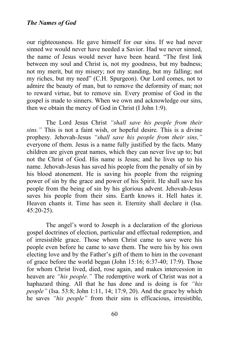our righteousness. He gave himself for our sins. If we had never sinned we would never have needed a Savior. Had we never sinned, the name of Jesus would never have been heard. "The first link between my soul and Christ is, not my goodness, but my badness; not my merit, but my misery; not my standing, but my falling; not my riches, but my need" (C.H. Spurgeon). Our Lord comes, not to admire the beauty of man, but to remove the deformity of man; not to reward virtue, but to remove sin. Every promise of God in the gospel is made to sinners. When we own and acknowledge our sins, then we obtain the mercy of God in Christ (I John 1:9).

The Lord Jesus Christ *"shall save his people from their sins."* This is not a faint wish, or hopeful desire. This is a divine prophesy. Jehovah-Jesus *"shall save his people from their sins,"* everyone of them. Jesus is a name fully justified by the facts. Many children are given great names, which they can never live up to; but not the Christ of God. His name is Jesus; and he lives up to his name. Jehovah-Jesus has saved his people from the penalty of sin by his blood atonement. He is saving his people from the reigning power of sin by the grace and power of his Spirit. He shall save his people from the being of sin by his glorious advent. Jehovah-Jesus saves his people from their sins. Earth knows it. Hell hates it. Heaven chants it. Time has seen it. Eternity shall declare it (Isa. 45:20-25).

The angel's word to Joseph is a declaration of the glorious gospel doctrines of election, particular and effectual redemption, and of irresistible grace. Those whom Christ came to save were his people even before he came to save them. The were his by his own electing love and by the Father's gift of them to him in the covenant of grace before the world began (John 15:16; 6:37-40; 17:9). Those for whom Christ lived, died, rose again, and makes intercession in heaven are *"his people."* The redemptive work of Christ was not a haphazard thing. All that he has done and is doing is for *"his people"* (Isa. 53:8; John 1:11, 14; 17:9, 20). And the grace by which he saves *"his people"* from their sins is efficacious, irresistible,